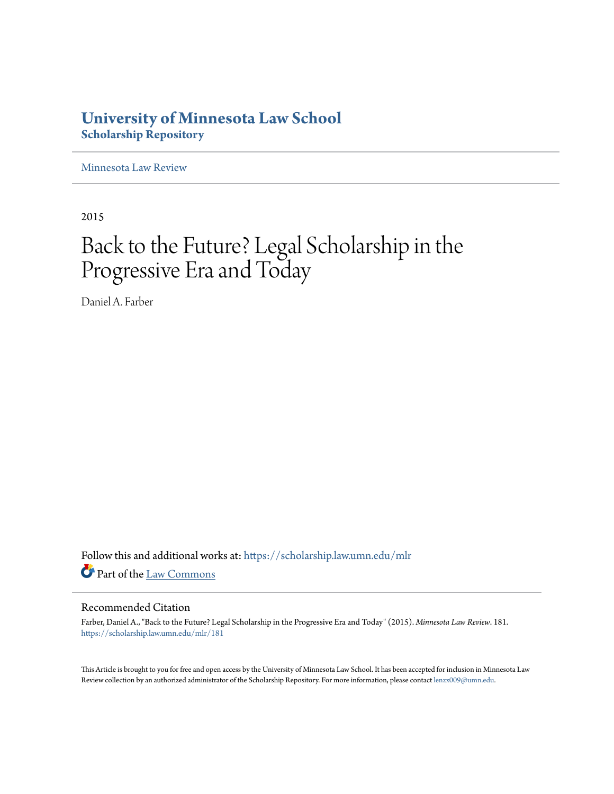# **University of Minnesota Law School [Scholarship Repository](https://scholarship.law.umn.edu?utm_source=scholarship.law.umn.edu%2Fmlr%2F181&utm_medium=PDF&utm_campaign=PDFCoverPages)**

[Minnesota Law Review](https://scholarship.law.umn.edu/mlr?utm_source=scholarship.law.umn.edu%2Fmlr%2F181&utm_medium=PDF&utm_campaign=PDFCoverPages)

2015

# Back to the Future? Legal Scholarship in the Progressive Era and Today

Daniel A. Farber

Follow this and additional works at: [https://scholarship.law.umn.edu/mlr](https://scholarship.law.umn.edu/mlr?utm_source=scholarship.law.umn.edu%2Fmlr%2F181&utm_medium=PDF&utm_campaign=PDFCoverPages) Part of the [Law Commons](http://network.bepress.com/hgg/discipline/578?utm_source=scholarship.law.umn.edu%2Fmlr%2F181&utm_medium=PDF&utm_campaign=PDFCoverPages)

# Recommended Citation

Farber, Daniel A., "Back to the Future? Legal Scholarship in the Progressive Era and Today" (2015). *Minnesota Law Review*. 181. [https://scholarship.law.umn.edu/mlr/181](https://scholarship.law.umn.edu/mlr/181?utm_source=scholarship.law.umn.edu%2Fmlr%2F181&utm_medium=PDF&utm_campaign=PDFCoverPages)

This Article is brought to you for free and open access by the University of Minnesota Law School. It has been accepted for inclusion in Minnesota Law Review collection by an authorized administrator of the Scholarship Repository. For more information, please contact [lenzx009@umn.edu.](mailto:lenzx009@umn.edu)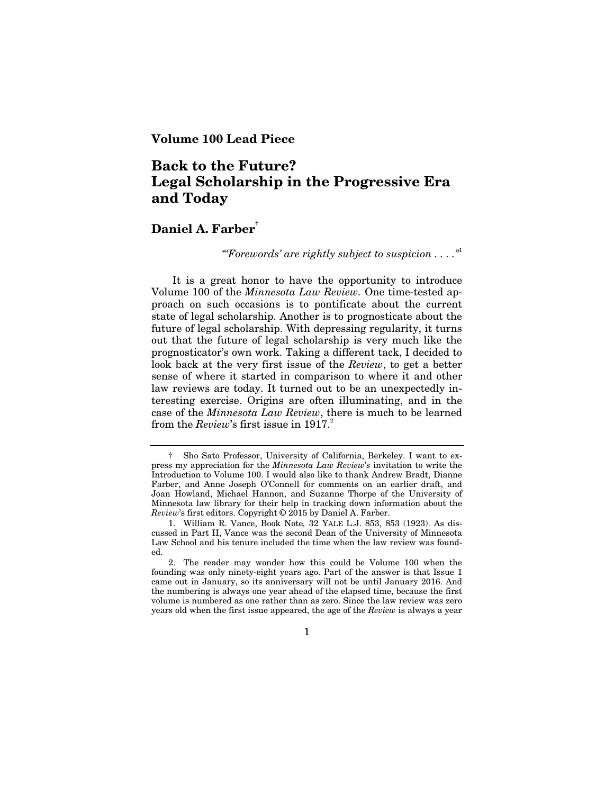# **Volume 100 Lead Piece**

# **Back to the Future? Legal Scholarship in the Progressive Era and Today**

# **Daniel A. Farber†**

*"'Forewords' are rightly subject to suspicion . . . ."*<sup>1</sup>

It is a great honor to have the opportunity to introduce Volume 100 of the *Minnesota Law Review.* One time-tested approach on such occasions is to pontificate about the current state of legal scholarship. Another is to prognosticate about the future of legal scholarship. With depressing regularity, it turns out that the future of legal scholarship is very much like the prognosticator's own work. Taking a different tack, I decided to look back at the very first issue of the *Review*, to get a better sense of where it started in comparison to where it and other law reviews are today. It turned out to be an unexpectedly interesting exercise. Origins are often illuminating, and in the case of the *Minnesota Law Review*, there is much to be learned from the *Review*'s first issue in 1917.

1

<sup>†</sup> Sho Sato Professor, University of California, Berkeley. I want to express my appreciation for the *Minnesota Law Review*'s invitation to write the Introduction to Volume 100. I would also like to thank Andrew Bradt, Dianne Farber, and Anne Joseph O'Connell for comments on an earlier draft, and Joan Howland, Michael Hannon, and Suzanne Thorpe of the University of Minnesota law library for their help in tracking down information about the *Review*'s first editors. Copyright © 2015 by Daniel A. Farber.

 <sup>1.</sup> William R. Vance, Book Note*,* 32 YALE L.J. 853, 853 (1923). As discussed in Part II, Vance was the second Dean of the University of Minnesota Law School and his tenure included the time when the law review was founded.

 <sup>2.</sup> The reader may wonder how this could be Volume 100 when the founding was only ninety-eight years ago. Part of the answer is that Issue 1 came out in January, so its anniversary will not be until January 2016. And the numbering is always one year ahead of the elapsed time, because the first volume is numbered as one rather than as zero. Since the law review was zero years old when the first issue appeared, the age of the *Review* is always a year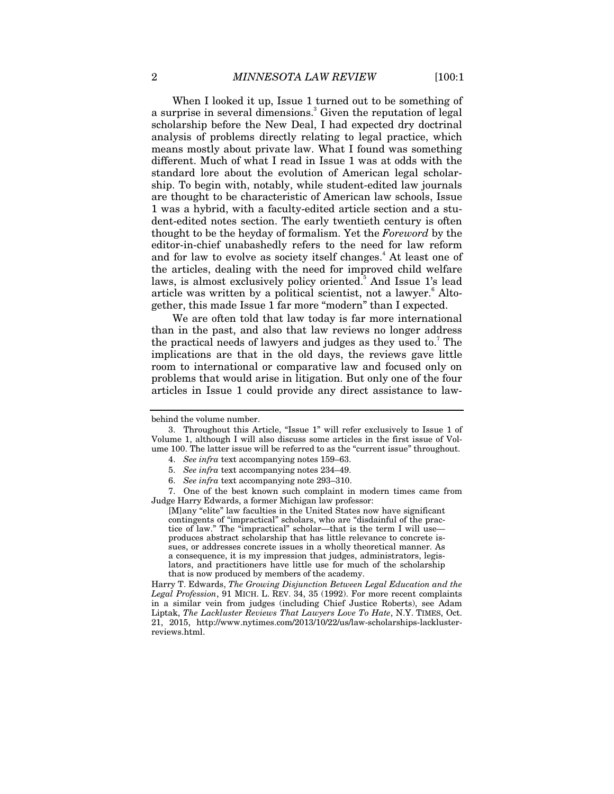When I looked it up, Issue 1 turned out to be something of a surprise in several dimensions.<sup>3</sup> Given the reputation of legal scholarship before the New Deal, I had expected dry doctrinal analysis of problems directly relating to legal practice, which means mostly about private law. What I found was something different. Much of what I read in Issue 1 was at odds with the standard lore about the evolution of American legal scholarship. To begin with, notably, while student-edited law journals are thought to be characteristic of American law schools, Issue 1 was a hybrid, with a faculty-edited article section and a student-edited notes section. The early twentieth century is often thought to be the heyday of formalism. Yet the *Foreword* by the editor-in-chief unabashedly refers to the need for law reform and for law to evolve as society itself changes.<sup>4</sup> At least one of the articles, dealing with the need for improved child welfare laws, is almost exclusively policy oriented.<sup>5</sup> And Issue 1's lead article was written by a political scientist, not a lawyer.<sup>6</sup> Altogether, this made Issue 1 far more "modern" than I expected.

We are often told that law today is far more international than in the past, and also that law reviews no longer address the practical needs of lawyers and judges as they used to.<sup>7</sup> The implications are that in the old days, the reviews gave little room to international or comparative law and focused only on problems that would arise in litigation. But only one of the four articles in Issue 1 could provide any direct assistance to law-

 7. One of the best known such complaint in modern times came from Judge Harry Edwards, a former Michigan law professor:

[M]any "elite" law faculties in the United States now have significant contingents of "impractical" scholars, who are "disdainful of the practice of law." The "impractical" scholar—that is the term I will use produces abstract scholarship that has little relevance to concrete issues, or addresses concrete issues in a wholly theoretical manner. As a consequence, it is my impression that judges, administrators, legislators, and practitioners have little use for much of the scholarship that is now produced by members of the academy.

Harry T. Edwards, *The Growing Disjunction Between Legal Education and the Legal Profession*, 91 MICH. L. REV. 34, 35 (1992). For more recent complaints in a similar vein from judges (including Chief Justice Roberts), see Adam Liptak, *The Lackluster Reviews That Lawyers Love To Hate*, N.Y. TIMES, Oct. 21, 2015, http://www.nytimes.com/2013/10/22/us/law-scholarships-lacklusterreviews.html.

behind the volume number.

 <sup>3.</sup> Throughout this Article, "Issue 1" will refer exclusively to Issue 1 of Volume 1, although I will also discuss some articles in the first issue of Volume 100. The latter issue will be referred to as the "current issue" throughout.

 <sup>4.</sup> *See infra* text accompanying notes 159–63.

 <sup>5.</sup> *See infra* text accompanying notes 234–49.

 <sup>6.</sup> *See infra* text accompanying note 293–310.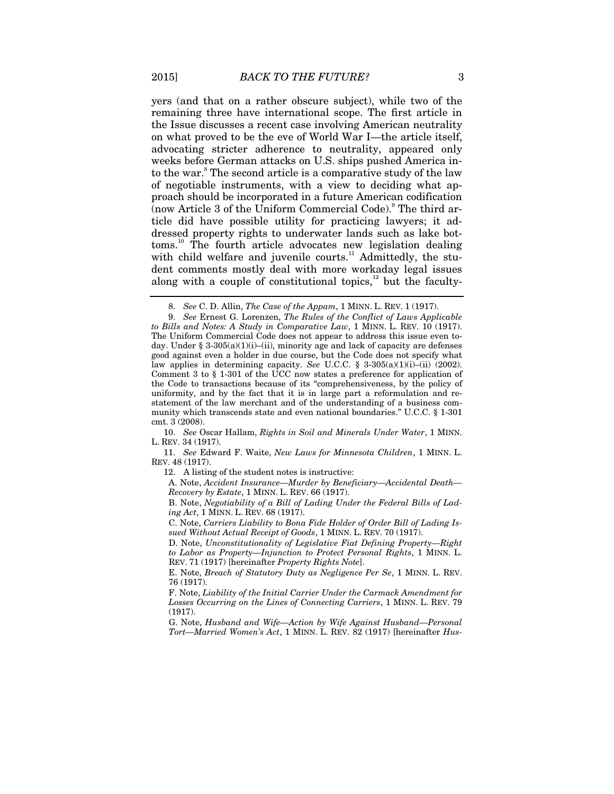yers (and that on a rather obscure subject), while two of the remaining three have international scope. The first article in the Issue discusses a recent case involving American neutrality on what proved to be the eve of World War I—the article itself, advocating stricter adherence to neutrality, appeared only weeks before German attacks on U.S. ships pushed America into the war.<sup>8</sup> The second article is a comparative study of the law of negotiable instruments, with a view to deciding what approach should be incorporated in a future American codification  $\overline{a}$ (now Article 3 of the Uniform Commercial Code).<sup>9</sup> The third article did have possible utility for practicing lawyers; it addressed property rights to underwater lands such as lake bottoms.10 The fourth article advocates new legislation dealing with child welfare and juvenile courts.<sup>11</sup> Admittedly, the student comments mostly deal with more workaday legal issues along with a couple of constitutional topics, $12$  but the faculty-

10. *See* Oscar Hallam, *Rights in Soil and Minerals Under Water*, 1 MINN. L. REV. 34 (1917).

11. *See* Edward F. Waite, *New Laws for Minnesota Children*, 1 MINN. L. REV. 48 (1917).

12. A listing of the student notes is instructive:

A. Note, *Accident Insurance—Murder by Beneficiary—Accidental Death— Recovery by Estate*, 1 MINN. L. REV. 66 (1917).

B. Note, *Negotiability of a Bill of Lading Under the Federal Bills of Lading Act*, 1 MINN. L. REV. 68 (1917).

C. Note, *Carriers Liability to Bona Fide Holder of Order Bill of Lading Issued Without Actual Receipt of Goods*, 1 MINN. L. REV. 70 (1917).

D. Note, *Unconstitutionality of Legislative Fiat Defining Property—Right to Labor as Property—Injunction to Protect Personal Rights*, 1 MINN. L. REV. 71 (1917) [hereinafter *Property Rights Note*].

E. Note, *Breach of Statutory Duty as Negligence Per Se*, 1 MINN. L. REV. 76 (1917).

F. Note, *Liability of the Initial Carrier Under the Carmack Amendment for Losses Occurring on the Lines of Connecting Carriers*, 1 MINN. L. REV. 79 (1917).

G. Note, *Husband and Wife—Action by Wife Against Husband—Personal Tort—Married Women's Act*, 1 MINN. L. REV. 82 (1917) [hereinafter *Hus-*

<sup>8.</sup> *See* C. D. Allin, *The Case of the Appam*, 1 MINN. L. REV. 1 (1917).

<sup>9.</sup> *See* Ernest G. Lorenzen, *The Rules of the Conflict of Laws Applicable to Bills and Notes: A Study in Comparative Law*, 1 MINN. L. REV. 10 (1917). The Uniform Commercial Code does not appear to address this issue even today. Under § 3-305(a)(1)(i)–(ii), minority age and lack of capacity are defenses good against even a holder in due course, but the Code does not specify what law applies in determining capacity. *See* U.C.C. § 3-305(a)(1)(i)–(ii) (2002). Comment 3 to § 1-301 of the UCC now states a preference for application of the Code to transactions because of its "comprehensiveness, by the policy of uniformity, and by the fact that it is in large part a reformulation and restatement of the law merchant and of the understanding of a business community which transcends state and even national boundaries." U.C.C. § 1-301 cmt. 3 (2008).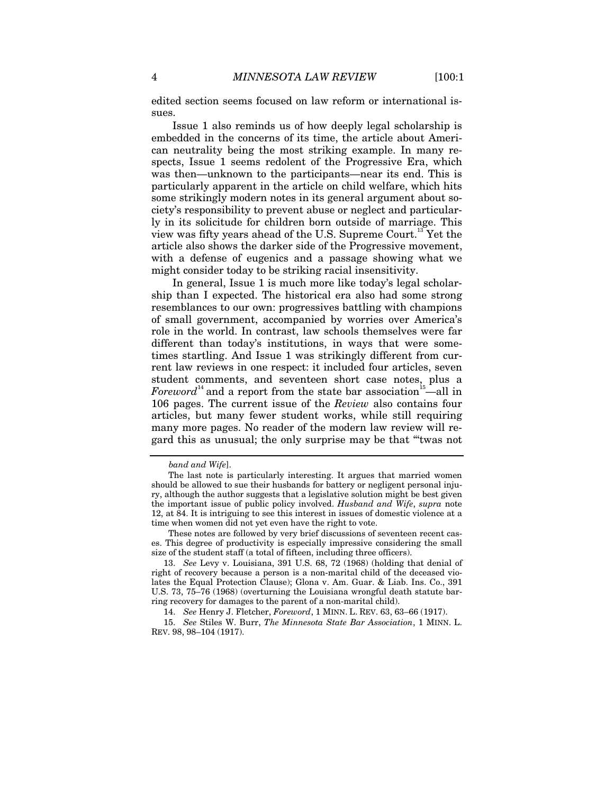edited section seems focused on law reform or international issues.

Issue 1 also reminds us of how deeply legal scholarship is embedded in the concerns of its time, the article about American neutrality being the most striking example. In many respects, Issue 1 seems redolent of the Progressive Era, which was then—unknown to the participants—near its end. This is particularly apparent in the article on child welfare, which hits some strikingly modern notes in its general argument about society's responsibility to prevent abuse or neglect and particularly in its solicitude for children born outside of marriage. This view was fifty years ahead of the U.S. Supreme Court.<sup>13</sup> Yet the article also shows the darker side of the Progressive movement, with a defense of eugenics and a passage showing what we might consider today to be striking racial insensitivity.

In general, Issue 1 is much more like today's legal scholarship than I expected. The historical era also had some strong resemblances to our own: progressives battling with champions of small government, accompanied by worries over America's role in the world. In contrast, law schools themselves were far different than today's institutions, in ways that were sometimes startling. And Issue 1 was strikingly different from current law reviews in one respect: it included four articles, seven student comments, and seventeen short case notes, plus a *Foreword*<sup>14</sup> and a report from the state bar association<sup>15</sup>—all in 106 pages. The current issue of the *Review* also contains four articles, but many fewer student works, while still requiring many more pages. No reader of the modern law review will regard this as unusual; the only surprise may be that "'twas not

*band and Wife*].

The last note is particularly interesting. It argues that married women should be allowed to sue their husbands for battery or negligent personal injury, although the author suggests that a legislative solution might be best given the important issue of public policy involved. *Husband and Wife*, *supra* note 12, at 84. It is intriguing to see this interest in issues of domestic violence at a time when women did not yet even have the right to vote.

These notes are followed by very brief discussions of seventeen recent cases. This degree of productivity is especially impressive considering the small size of the student staff (a total of fifteen, including three officers).

<sup>13.</sup> *See* Levy v. Louisiana, 391 U.S. 68, 72 (1968) (holding that denial of right of recovery because a person is a non-marital child of the deceased violates the Equal Protection Clause); Glona v. Am. Guar. & Liab. Ins. Co., 391 U.S. 73, 75–76 (1968) (overturning the Louisiana wrongful death statute barring recovery for damages to the parent of a non-marital child).

<sup>14.</sup> *See* Henry J. Fletcher, *Foreword*, 1 MINN. L. REV. 63, 63–66 (1917).

<sup>15.</sup> *See* Stiles W. Burr, *The Minnesota State Bar Association*, 1 MINN. L. REV. 98, 98–104 (1917).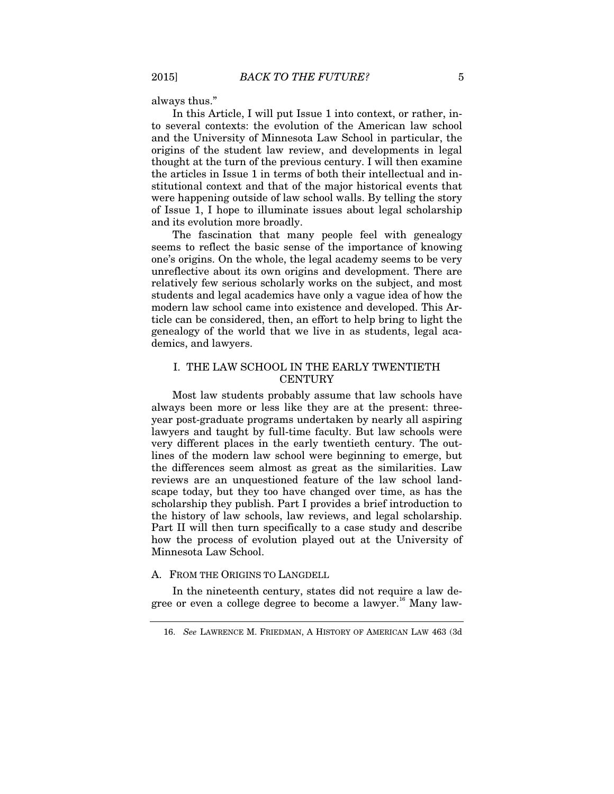always thus."

In this Article, I will put Issue 1 into context, or rather, into several contexts: the evolution of the American law school and the University of Minnesota Law School in particular, the origins of the student law review, and developments in legal thought at the turn of the previous century. I will then examine the articles in Issue 1 in terms of both their intellectual and institutional context and that of the major historical events that were happening outside of law school walls. By telling the story of Issue 1, I hope to illuminate issues about legal scholarship and its evolution more broadly.

The fascination that many people feel with genealogy seems to reflect the basic sense of the importance of knowing one's origins. On the whole, the legal academy seems to be very unreflective about its own origins and development. There are relatively few serious scholarly works on the subject, and most students and legal academics have only a vague idea of how the modern law school came into existence and developed. This Article can be considered, then, an effort to help bring to light the genealogy of the world that we live in as students, legal academics, and lawyers.

# I. THE LAW SCHOOL IN THE EARLY TWENTIETH **CENTURY**

Most law students probably assume that law schools have always been more or less like they are at the present: threeyear post-graduate programs undertaken by nearly all aspiring lawyers and taught by full-time faculty. But law schools were very different places in the early twentieth century. The outlines of the modern law school were beginning to emerge, but the differences seem almost as great as the similarities. Law reviews are an unquestioned feature of the law school landscape today, but they too have changed over time, as has the scholarship they publish. Part I provides a brief introduction to the history of law schools, law reviews, and legal scholarship. Part II will then turn specifically to a case study and describe how the process of evolution played out at the University of Minnesota Law School.

## A. FROM THE ORIGINS TO LANGDELL

In the nineteenth century, states did not require a law degree or even a college degree to become a lawyer.<sup>16</sup> Many law-

<sup>16.</sup> *See* LAWRENCE M. FRIEDMAN, A HISTORY OF AMERICAN LAW 463 (3d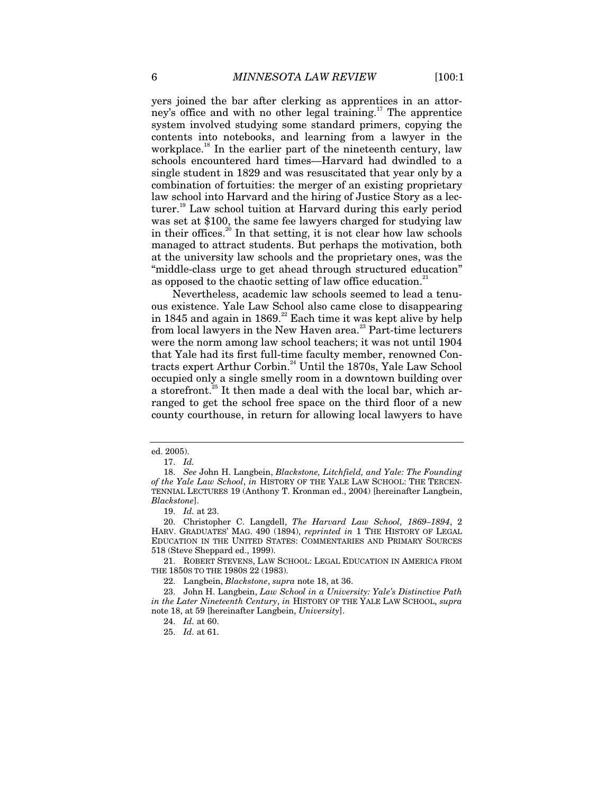yers joined the bar after clerking as apprentices in an attorney's office and with no other legal training.<sup>17</sup> The apprentice system involved studying some standard primers, copying the contents into notebooks, and learning from a lawyer in the workplace.<sup>18</sup> In the earlier part of the nineteenth century, law schools encountered hard times—Harvard had dwindled to a single student in 1829 and was resuscitated that year only by a combination of fortuities: the merger of an existing proprietary law school into Harvard and the hiring of Justice Story as a lecturer.<sup>19</sup> Law school tuition at Harvard during this early period was set at \$100, the same fee lawyers charged for studying law in their offices.<sup>20</sup> In that setting, it is not clear how law schools managed to attract students. But perhaps the motivation, both at the university law schools and the proprietary ones, was the "middle-class urge to get ahead through structured education" as opposed to the chaotic setting of law office education.<sup>21</sup>

Nevertheless, academic law schools seemed to lead a tenuous existence. Yale Law School also came close to disappearing in 1845 and again in 1869.<sup>22</sup> Each time it was kept alive by help from local lawyers in the New Haven area.<sup>23</sup> Part-time lecturers were the norm among law school teachers; it was not until 1904 that Yale had its first full-time faculty member, renowned Contracts expert Arthur Corbin.24 Until the 1870s, Yale Law School occupied only a single smelly room in a downtown building over a storefront.<sup>25</sup> It then made a deal with the local bar, which arranged to get the school free space on the third floor of a new county courthouse, in return for allowing local lawyers to have

ed. 2005).

<sup>17.</sup> *Id.* 

<sup>18.</sup> *See* John H. Langbein, *Blackstone, Litchfield, and Yale: The Founding of the Yale Law School*, *in* HISTORY OF THE YALE LAW SCHOOL: THE TERCEN-TENNIAL LECTURES 19 (Anthony T. Kronman ed., 2004) [hereinafter Langbein, *Blackstone*].

<sup>19.</sup> *Id.* at 23.

 <sup>20.</sup> Christopher C. Langdell, *The Harvard Law School, 1869–1894*, 2 HARV. GRADUATES' MAG. 490 (1894), *reprinted in* 1 THE HISTORY OF LEGAL EDUCATION IN THE UNITED STATES: COMMENTARIES AND PRIMARY SOURCES 518 (Steve Sheppard ed., 1999).

 <sup>21.</sup> ROBERT STEVENS, LAW SCHOOL: LEGAL EDUCATION IN AMERICA FROM THE 1850S TO THE 1980S 22 (1983).

 <sup>22.</sup> Langbein, *Blackstone*, *supra* note 18, at 36.

 <sup>23.</sup> John H. Langbein, *Law School in a University: Yale's Distinctive Path in the Later Nineteenth Century*, *in* HISTORY OF THE YALE LAW SCHOOL, *supra* note 18, at 59 [hereinafter Langbein, *University*].

<sup>24.</sup> *Id.* at 60.

<sup>25.</sup> *Id.* at 61.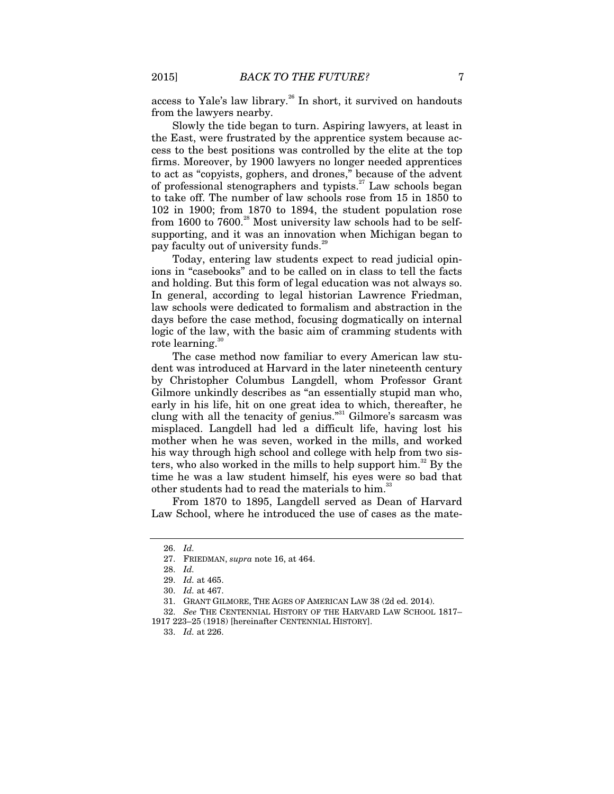access to Yale's law library.<sup>26</sup> In short, it survived on handouts from the lawyers nearby.

Slowly the tide began to turn. Aspiring lawyers, at least in the East, were frustrated by the apprentice system because access to the best positions was controlled by the elite at the top firms. Moreover, by 1900 lawyers no longer needed apprentices to act as "copyists, gophers, and drones," because of the advent of professional stenographers and typists.<sup>27</sup> Law schools began to take off. The number of law schools rose from 15 in 1850 to 102 in 1900; from 1870 to 1894, the student population rose from 1600 to 7600.<sup>28</sup> Most university law schools had to be selfsupporting, and it was an innovation when Michigan began to pay faculty out of university funds.<sup>29</sup>

Today, entering law students expect to read judicial opinions in "casebooks" and to be called on in class to tell the facts and holding. But this form of legal education was not always so. In general, according to legal historian Lawrence Friedman, law schools were dedicated to formalism and abstraction in the days before the case method, focusing dogmatically on internal logic of the law, with the basic aim of cramming students with rote learning.<sup>30</sup>

The case method now familiar to every American law student was introduced at Harvard in the later nineteenth century by Christopher Columbus Langdell, whom Professor Grant Gilmore unkindly describes as "an essentially stupid man who, early in his life, hit on one great idea to which, thereafter, he clung with all the tenacity of genius."<sup>31</sup> Gilmore's sarcasm was misplaced. Langdell had led a difficult life, having lost his mother when he was seven, worked in the mills, and worked his way through high school and college with help from two sisters, who also worked in the mills to help support  $\lim$ <sup>32</sup> By the time he was a law student himself, his eyes were so bad that other students had to read the materials to him.<sup>33</sup>

From 1870 to 1895, Langdell served as Dean of Harvard Law School, where he introduced the use of cases as the mate-

<sup>26.</sup> *Id.*

 <sup>27.</sup> FRIEDMAN, *supra* note 16, at 464.

<sup>28.</sup> *Id.*

<sup>29.</sup> *Id.* at 465.

<sup>30.</sup> *Id.* at 467.

 <sup>31.</sup> GRANT GILMORE, THE AGES OF AMERICAN LAW 38 (2d ed. 2014).

<sup>32.</sup> *See* THE CENTENNIAL HISTORY OF THE HARVARD LAW SCHOOL 1817– 1917 223–25 (1918) [hereinafter CENTENNIAL HISTORY].

<sup>33.</sup> *Id.* at 226.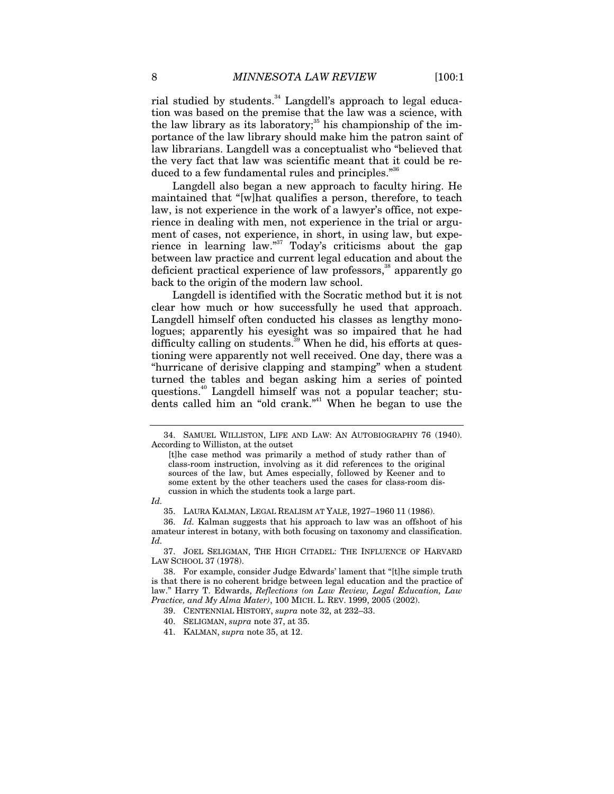rial studied by students.<sup>34</sup> Langdell's approach to legal education was based on the premise that the law was a science, with the law library as its laboratory;<sup>35</sup> his championship of the importance of the law library should make him the patron saint of law librarians. Langdell was a conceptualist who "believed that the very fact that law was scientific meant that it could be reduced to a few fundamental rules and principles."<sup>36</sup>

Langdell also began a new approach to faculty hiring. He maintained that "[w]hat qualifies a person, therefore, to teach law, is not experience in the work of a lawyer's office, not experience in dealing with men, not experience in the trial or argument of cases, not experience, in short, in using law, but experience in learning law."<sup>37</sup> Today's criticisms about the gap between law practice and current legal education and about the deficient practical experience of law professors,<sup>38</sup> apparently go back to the origin of the modern law school.

Langdell is identified with the Socratic method but it is not clear how much or how successfully he used that approach. Langdell himself often conducted his classes as lengthy monologues; apparently his eyesight was so impaired that he had difficulty calling on students.<sup>39</sup> When he did, his efforts at questioning were apparently not well received. One day, there was a "hurricane of derisive clapping and stamping" when a student turned the tables and began asking him a series of pointed questions.<sup>40</sup> Langdell himself was not a popular teacher; students called him an "old crank."<sup>41</sup> When he began to use the

*Id.*

36. *Id.* Kalman suggests that his approach to law was an offshoot of his amateur interest in botany, with both focusing on taxonomy and classification. *Id.*

 37. JOEL SELIGMAN, THE HIGH CITADEL: THE INFLUENCE OF HARVARD LAW SCHOOL 37 (1978).

 <sup>34.</sup> SAMUEL WILLISTON, LIFE AND LAW: AN AUTOBIOGRAPHY 76 (1940). According to Williston, at the outset

<sup>[</sup>t]he case method was primarily a method of study rather than of class-room instruction, involving as it did references to the original sources of the law, but Ames especially, followed by Keener and to some extent by the other teachers used the cases for class-room discussion in which the students took a large part.

 <sup>35.</sup> LAURA KALMAN, LEGAL REALISM AT YALE, 1927–1960 11 (1986).

 <sup>38.</sup> For example, consider Judge Edwards' lament that "[t]he simple truth is that there is no coherent bridge between legal education and the practice of law." Harry T. Edwards, *Reflections (on Law Review, Legal Education, Law Practice, and My Alma Mater)*, 100 MICH. L. REV. 1999, 2005 (2002).

 <sup>39.</sup> CENTENNIAL HISTORY, *supra* note 32, at 232–33.

 <sup>40.</sup> SELIGMAN, *supra* note 37, at 35.

 <sup>41.</sup> KALMAN, *supra* note 35, at 12.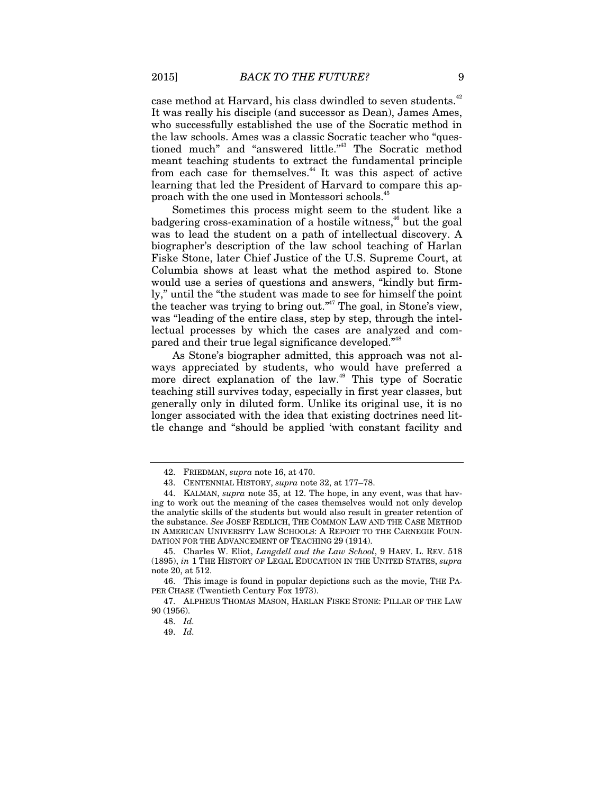case method at Harvard, his class dwindled to seven students.<sup>42</sup> It was really his disciple (and successor as Dean), James Ames, who successfully established the use of the Socratic method in the law schools. Ames was a classic Socratic teacher who "questioned much" and "answered little."<sup>43</sup> The Socratic method meant teaching students to extract the fundamental principle from each case for themselves.<sup>44</sup> It was this aspect of active learning that led the President of Harvard to compare this approach with the one used in Montessori schools.<sup>41</sup>

Sometimes this process might seem to the student like a badgering cross-examination of a hostile witness, $46$  but the goal was to lead the student on a path of intellectual discovery. A biographer's description of the law school teaching of Harlan Fiske Stone, later Chief Justice of the U.S. Supreme Court, at Columbia shows at least what the method aspired to. Stone would use a series of questions and answers, "kindly but firmly," until the "the student was made to see for himself the point the teacher was trying to bring out."<sup>47</sup> The goal, in Stone's view, was "leading of the entire class, step by step, through the intellectual processes by which the cases are analyzed and compared and their true legal significance developed."<sup>48</sup>

As Stone's biographer admitted, this approach was not always appreciated by students, who would have preferred a more direct explanation of the law.<sup>49</sup> This type of Socratic teaching still survives today, especially in first year classes, but generally only in diluted form. Unlike its original use, it is no longer associated with the idea that existing doctrines need little change and "should be applied 'with constant facility and

 <sup>42.</sup> FRIEDMAN, *supra* note 16, at 470.

 <sup>43.</sup> CENTENNIAL HISTORY, *supra* note 32, at 177–78.

 <sup>44.</sup> KALMAN, *supra* note 35, at 12. The hope, in any event, was that having to work out the meaning of the cases themselves would not only develop the analytic skills of the students but would also result in greater retention of the substance. *See* JOSEF REDLICH, THE COMMON LAW AND THE CASE METHOD IN AMERICAN UNIVERSITY LAW SCHOOLS: A REPORT TO THE CARNEGIE FOUN-DATION FOR THE ADVANCEMENT OF TEACHING 29 (1914).

 <sup>45.</sup> Charles W. Eliot, *Langdell and the Law School*, 9 HARV. L. REV. 518 (1895), *in* 1 THE HISTORY OF LEGAL EDUCATION IN THE UNITED STATES, *supra*  note 20, at 512.

 <sup>46.</sup> This image is found in popular depictions such as the movie, THE PA-PER CHASE (Twentieth Century Fox 1973).

 <sup>47.</sup> ALPHEUS THOMAS MASON, HARLAN FISKE STONE: PILLAR OF THE LAW 90 (1956).

<sup>48.</sup> *Id.*

<sup>49.</sup> *Id.*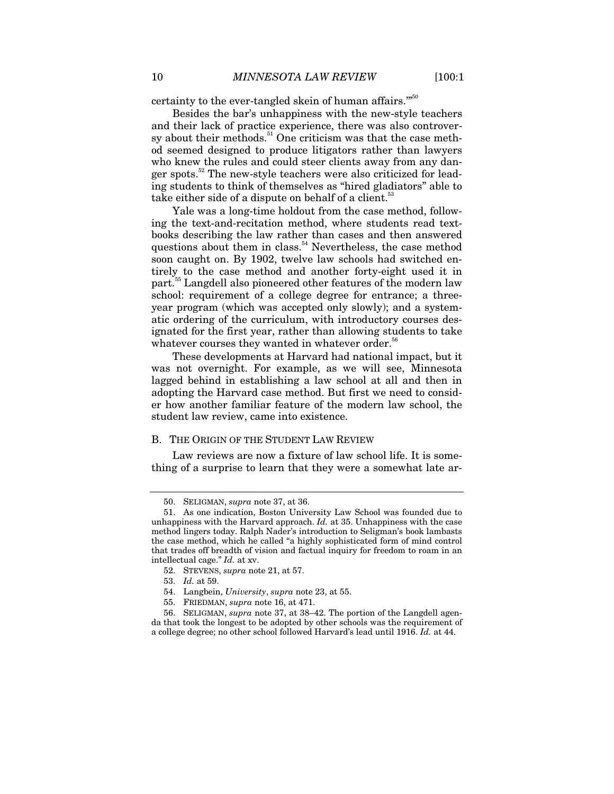certainty to the ever-tangled skein of human affairs."<sup>50</sup>

Besides the bar's unhappiness with the new-style teachers and their lack of practice experience, there was also controversy about their methods.<sup>51</sup> One criticism was that the case method seemed designed to produce litigators rather than lawyers who knew the rules and could steer clients away from any danger spots.<sup>52</sup> The new-style teachers were also criticized for leading students to think of themselves as "hired gladiators" able to take either side of a dispute on behalf of a client.<sup>53</sup>

Yale was a long-time holdout from the case method, following the text-and-recitation method, where students read textbooks describing the law rather than cases and then answered questions about them in class.<sup>54</sup> Nevertheless, the case method soon caught on. By 1902, twelve law schools had switched entirely to the case method and another forty-eight used it in part.<sup>55</sup> Langdell also pioneered other features of the modern law school: requirement of a college degree for entrance; a threeyear program (which was accepted only slowly); and a systematic ordering of the curriculum, with introductory courses designated for the first year, rather than allowing students to take whatever courses they wanted in whatever order.<sup>56</sup>

These developments at Harvard had national impact, but it was not overnight. For example, as we will see, Minnesota lagged behind in establishing a law school at all and then in adopting the Harvard case method. But first we need to consider how another familiar feature of the modern law school, the student law review, came into existence.

#### B. THE ORIGIN OF THE STUDENT LAW REVIEW

Law reviews are now a fixture of law school life. It is something of a surprise to learn that they were a somewhat late ar-

 <sup>50.</sup> SELIGMAN, *supra* note 37, at 36.

 <sup>51.</sup> As one indication, Boston University Law School was founded due to unhappiness with the Harvard approach. *Id.* at 35. Unhappiness with the case method lingers today. Ralph Nader's introduction to Seligman's book lambasts the case method, which he called "a highly sophisticated form of mind control that trades off breadth of vision and factual inquiry for freedom to roam in an intellectual cage." *Id.* at xv.

 <sup>52.</sup> STEVENS, *supra* note 21, at 57.

 <sup>53.</sup> *Id.* at 59.

 <sup>54.</sup> Langbein, *University*, *supra* note 23, at 55.

 <sup>55.</sup> FRIEDMAN, *supra* note 16, at 471.

 <sup>56.</sup> SELIGMAN, *supra* note 37, at 38–42. The portion of the Langdell agenda that took the longest to be adopted by other schools was the requirement of a college degree; no other school followed Harvard's lead until 1916. *Id.* at 44.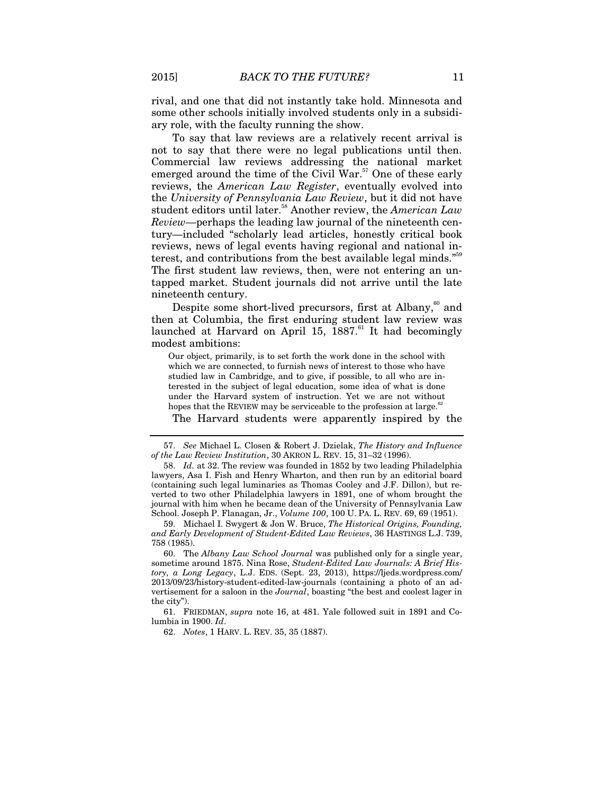rival, and one that did not instantly take hold. Minnesota and some other schools initially involved students only in a subsidiary role, with the faculty running the show.

To say that law reviews are a relatively recent arrival is not to say that there were no legal publications until then. Commercial law reviews addressing the national market emerged around the time of the Civil  $\text{War}$ .<sup>57</sup> One of these early reviews, the *American Law Register*, eventually evolved into the *University of Pennsylvania Law Review*, but it did not have student editors until later.<sup>58</sup> Another review, the *American Law Review*—perhaps the leading law journal of the nineteenth century—included "scholarly lead articles, honestly critical book reviews, news of legal events having regional and national interest, and contributions from the best available legal minds."<sup>59</sup> The first student law reviews, then, were not entering an untapped market. Student journals did not arrive until the late nineteenth century.

Despite some short-lived precursors, first at Albany, $60$  and then at Columbia, the first enduring student law review was launched at Harvard on April 15,  $1887$ .<sup>61</sup> It had becomingly modest ambitions:

Our object, primarily, is to set forth the work done in the school with which we are connected, to furnish news of interest to those who have studied law in Cambridge, and to give, if possible, to all who are interested in the subject of legal education, some idea of what is done under the Harvard system of instruction. Yet we are not without hopes that the REVIEW may be serviceable to the profession at large.<sup>62</sup> The Harvard students were apparently inspired by the

<sup>57.</sup> *See* Michael L. Closen & Robert J. Dzielak, *The History and Influence of the Law Review Institution*, 30 AKRON L. REV. 15, 31–32 (1996).

<sup>58.</sup> *Id.* at 32. The review was founded in 1852 by two leading Philadelphia lawyers, Asa I. Fish and Henry Wharton, and then run by an editorial board (containing such legal luminaries as Thomas Cooley and J.F. Dillon), but reverted to two other Philadelphia lawyers in 1891, one of whom brought the journal with him when he became dean of the University of Pennsylvania Law School. Joseph P. Flanagan, Jr., *Volume 100*, 100 U. PA. L. REV. 69, 69 (1951).

 <sup>59.</sup> Michael I. Swygert & Jon W. Bruce, *The Historical Origins, Founding, and Early Development of Student-Edited Law Reviews*, 36 HASTINGS L.J. 739, 758 (1985).

 <sup>60.</sup> The *Albany Law School Journal* was published only for a single year, sometime around 1875. Nina Rose, *Student-Edited Law Journals: A Brief History, a Long Legacy*, L.J. EDS. (Sept. 23, 2013), https://ljeds.wordpress.com/ 2013/09/23/history-student-edited-law-journals (containing a photo of an advertisement for a saloon in the *Journal*, boasting "the best and coolest lager in the city").

 <sup>61.</sup> FRIEDMAN, *supra* note 16, at 481. Yale followed suit in 1891 and Columbia in 1900. *Id*.

<sup>62.</sup> *Notes*, 1 HARV. L. REV. 35, 35 (1887).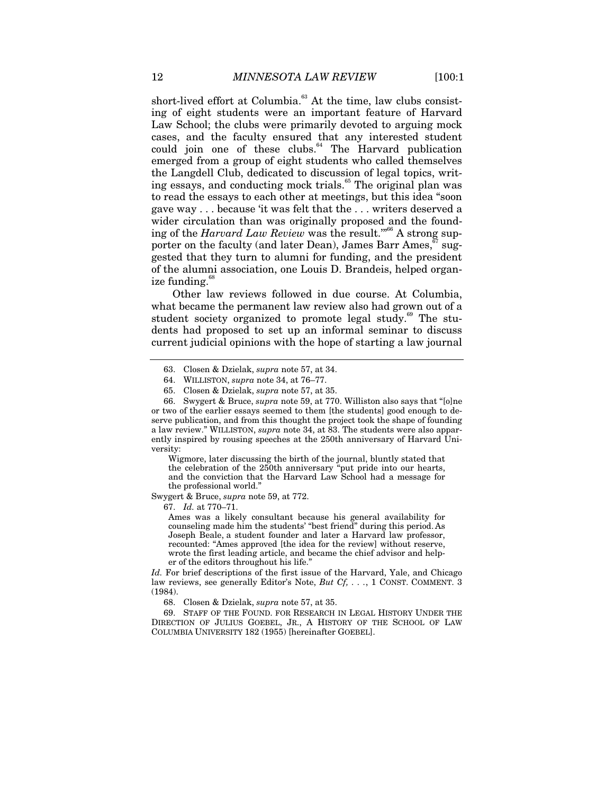short-lived effort at Columbia.<sup>63</sup> At the time, law clubs consisting of eight students were an important feature of Harvard Law School; the clubs were primarily devoted to arguing mock cases, and the faculty ensured that any interested student could join one of these clubs.<sup>64</sup> The Harvard publication emerged from a group of eight students who called themselves the Langdell Club, dedicated to discussion of legal topics, writing essays, and conducting mock trials.<sup>65</sup> The original plan was to read the essays to each other at meetings, but this idea "soon gave way . . . because 'it was felt that the . . . writers deserved a wider circulation than was originally proposed and the founding of the *Harvard Law Review* was the result."<sup>66</sup> A strong supporter on the faculty (and later Dean), James Barr Ames,  $\sqrt[67]{s}$  suggested that they turn to alumni for funding, and the president of the alumni association, one Louis D. Brandeis, helped organize funding.<sup>68</sup>

Other law reviews followed in due course. At Columbia, what became the permanent law review also had grown out of a student society organized to promote legal study.<sup>69</sup> The students had proposed to set up an informal seminar to discuss current judicial opinions with the hope of starting a law journal

Wigmore, later discussing the birth of the journal, bluntly stated that the celebration of the 250th anniversary "put pride into our hearts, and the conviction that the Harvard Law School had a message for the professional world."

Swygert & Bruce, *supra* note 59, at 772.

67. *Id.* at 770–71.

Ames was a likely consultant because his general availability for counseling made him the students' "best friend" during this period. As Joseph Beale, a student founder and later a Harvard law professor, recounted: "Ames approved [the idea for the review] without reserve, wrote the first leading article, and became the chief advisor and helper of the editors throughout his life."

*Id.* For brief descriptions of the first issue of the Harvard, Yale, and Chicago law reviews, see generally Editor's Note, *But Cf, . . .*, 1 CONST. COMMENT. 3 (1984).

68. Closen & Dzielak, *supra* note 57, at 35.

 69. STAFF OF THE FOUND. FOR RESEARCH IN LEGAL HISTORY UNDER THE DIRECTION OF JULIUS GOEBEL, JR., A HISTORY OF THE SCHOOL OF LAW COLUMBIA UNIVERSITY 182 (1955) [hereinafter GOEBEL].

 <sup>63.</sup> Closen & Dzielak, *supra* note 57, at 34.

 <sup>64.</sup> WILLISTON, *supra* note 34, at 76–77.

 <sup>65.</sup> Closen & Dzielak, *supra* note 57, at 35.

 <sup>66.</sup> Swygert & Bruce, *supra* note 59, at 770. Williston also says that "[o]ne or two of the earlier essays seemed to them [the students] good enough to deserve publication, and from this thought the project took the shape of founding a law review." WILLISTON, *supra* note 34, at 83. The students were also apparently inspired by rousing speeches at the 250th anniversary of Harvard University: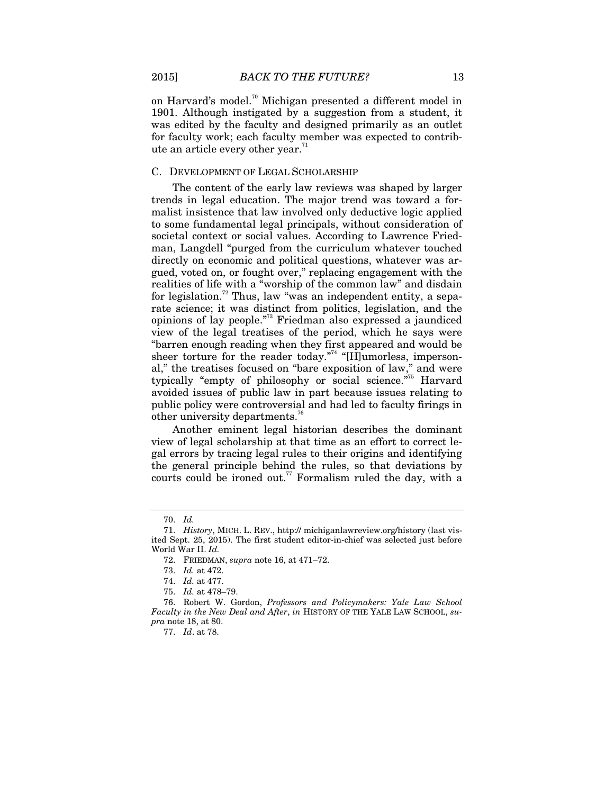on Harvard's model.<sup>70</sup> Michigan presented a different model in 1901. Although instigated by a suggestion from a student, it was edited by the faculty and designed primarily as an outlet for faculty work; each faculty member was expected to contribute an article every other year.<sup>71</sup>

## C. DEVELOPMENT OF LEGAL SCHOLARSHIP

The content of the early law reviews was shaped by larger trends in legal education. The major trend was toward a formalist insistence that law involved only deductive logic applied to some fundamental legal principals, without consideration of societal context or social values. According to Lawrence Friedman, Langdell "purged from the curriculum whatever touched directly on economic and political questions, whatever was argued, voted on, or fought over," replacing engagement with the realities of life with a "worship of the common law" and disdain for legislation.<sup>72</sup> Thus, law "was an independent entity, a separate science; it was distinct from politics, legislation, and the opinions of lay people."73 Friedman also expressed a jaundiced view of the legal treatises of the period, which he says were "barren enough reading when they first appeared and would be sheer torture for the reader today. $174$  "[H]umorless, impersonal," the treatises focused on "bare exposition of law," and were typically "empty of philosophy or social science."<sup>75</sup> Harvard avoided issues of public law in part because issues relating to public policy were controversial and had led to faculty firings in other university departments.<sup>76</sup>

Another eminent legal historian describes the dominant view of legal scholarship at that time as an effort to correct legal errors by tracing legal rules to their origins and identifying the general principle behind the rules, so that deviations by courts could be ironed out.<sup>77</sup> Formalism ruled the day, with a

<sup>70.</sup> *Id.*

<sup>71.</sup> *History*, MICH. L. REV., http:// michiganlawreview.org/history (last visited Sept. 25, 2015). The first student editor-in-chief was selected just before World War II. *Id.*

 <sup>72.</sup> FRIEDMAN, *supra* note 16, at 471–72.

<sup>73.</sup> *Id.* at 472.

<sup>74.</sup> *Id.* at 477.

<sup>75.</sup> *Id.* at 478–79.

 <sup>76.</sup> Robert W. Gordon, *Professors and Policymakers: Yale Law School Faculty in the New Deal and After*, *in* HISTORY OF THE YALE LAW SCHOOL, *supra* note 18, at 80.

<sup>77.</sup> *Id*. at 78.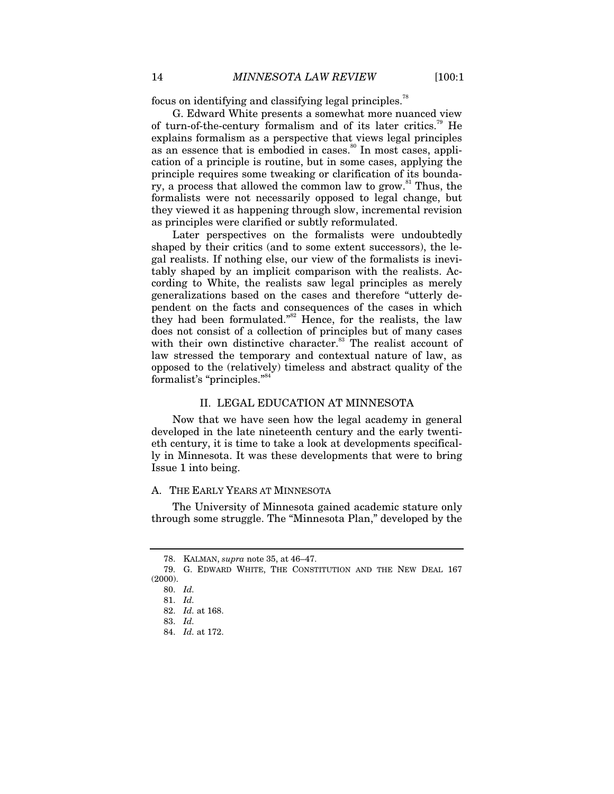focus on identifying and classifying legal principles.<sup>78</sup>

G. Edward White presents a somewhat more nuanced view of turn-of-the-century formalism and of its later critics.<sup>79</sup> He explains formalism as a perspective that views legal principles as an essence that is embodied in cases.<sup>80</sup> In most cases, application of a principle is routine, but in some cases, applying the principle requires some tweaking or clarification of its boundary, a process that allowed the common law to grow. $81$  Thus, the formalists were not necessarily opposed to legal change, but they viewed it as happening through slow, incremental revision as principles were clarified or subtly reformulated.

Later perspectives on the formalists were undoubtedly shaped by their critics (and to some extent successors), the legal realists. If nothing else, our view of the formalists is inevitably shaped by an implicit comparison with the realists. According to White, the realists saw legal principles as merely generalizations based on the cases and therefore "utterly dependent on the facts and consequences of the cases in which they had been formulated."<sup>82</sup> Hence, for the realists, the law does not consist of a collection of principles but of many cases with their own distinctive character.<sup>83</sup> The realist account of law stressed the temporary and contextual nature of law, as opposed to the (relatively) timeless and abstract quality of the formalist's "principles."<sup>84</sup>

#### II. LEGAL EDUCATION AT MINNESOTA

Now that we have seen how the legal academy in general developed in the late nineteenth century and the early twentieth century, it is time to take a look at developments specifically in Minnesota. It was these developments that were to bring Issue 1 into being.

#### A. THE EARLY YEARS AT MINNESOTA

The University of Minnesota gained academic stature only through some struggle. The "Minnesota Plan," developed by the

 <sup>78.</sup> KALMAN, *supra* note 35, at 46–47.

 <sup>79.</sup> G. EDWARD WHITE, THE CONSTITUTION AND THE NEW DEAL 167 (2000).

<sup>80.</sup> *Id.*

<sup>81.</sup> *Id.*

<sup>82.</sup> *Id.* at 168.

<sup>83.</sup> *Id.*

<sup>84.</sup> *Id.* at 172.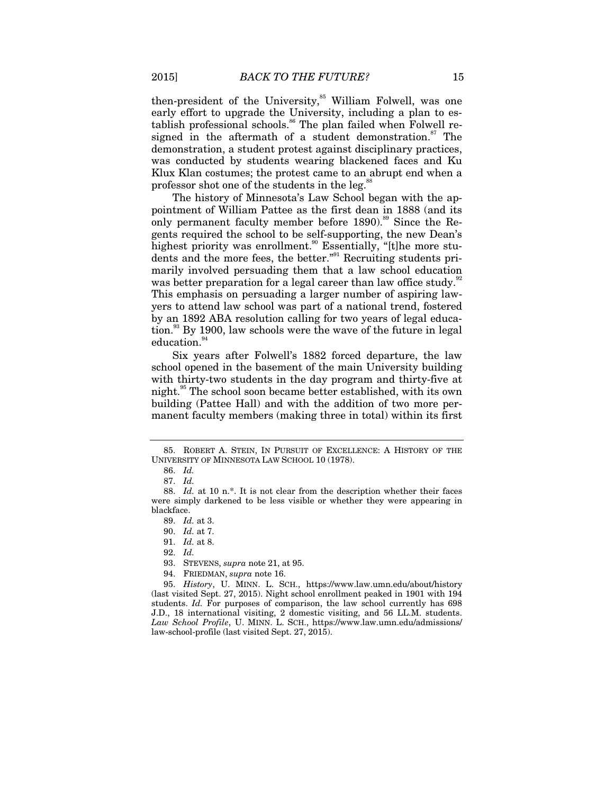then-president of the University,<sup>85</sup> William Folwell, was one early effort to upgrade the University, including a plan to establish professional schools.<sup>86</sup> The plan failed when Folwell resigned in the aftermath of a student demonstration. $87$  The demonstration, a student protest against disciplinary practices, was conducted by students wearing blackened faces and Ku Klux Klan costumes; the protest came to an abrupt end when a professor shot one of the students in the  $leg.^{8}$ 

The history of Minnesota's Law School began with the appointment of William Pattee as the first dean in 1888 (and its only permanent faculty member before  $1890$ <sup>89</sup> Since the Regents required the school to be self-supporting, the new Dean's highest priority was enrollment.<sup>90</sup> Essentially, "[t]he more students and the more fees, the better."<sup>91</sup> Recruiting students primarily involved persuading them that a law school education was better preparation for a legal career than law office study.<sup>92</sup> This emphasis on persuading a larger number of aspiring lawyers to attend law school was part of a national trend, fostered by an 1892 ABA resolution calling for two years of legal educa-

tion.<sup>93</sup> By 1900, law schools were the wave of the future in legal education.<sup>94</sup>

Six years after Folwell's 1882 forced departure, the law school opened in the basement of the main University building with thirty-two students in the day program and thirty-five at night.<sup>95</sup> The school soon became better established, with its own building (Pattee Hall) and with the addition of two more permanent faculty members (making three in total) within its first

94. FRIEDMAN, *supra* note 16.

 <sup>85.</sup> ROBERT A. STEIN, IN PURSUIT OF EXCELLENCE: A HISTORY OF THE UNIVERSITY OF MINNESOTA LAW SCHOOL 10 (1978).

<sup>86.</sup> *Id.* 

<sup>87.</sup> *Id.*

<sup>88.</sup> *Id.* at 10 n.\*. It is not clear from the description whether their faces were simply darkened to be less visible or whether they were appearing in blackface.

<sup>89.</sup> *Id.* at 3.

<sup>90.</sup> *Id.* at 7.

<sup>91.</sup> *Id.* at 8.

<sup>92.</sup> *Id.*

 <sup>93.</sup> STEVENS, *supra* note 21, at 95.

<sup>95.</sup> *History*, U. MINN. L. SCH., https://www.law.umn.edu/about/history (last visited Sept. 27, 2015). Night school enrollment peaked in 1901 with 194 students. *Id.* For purposes of comparison, the law school currently has 698 J.D., 18 international visiting, 2 domestic visiting, and 56 LL.M. students. *Law School Profile*, U. MINN. L. SCH., https://www.law.umn.edu/admissions/ law-school-profile (last visited Sept. 27, 2015).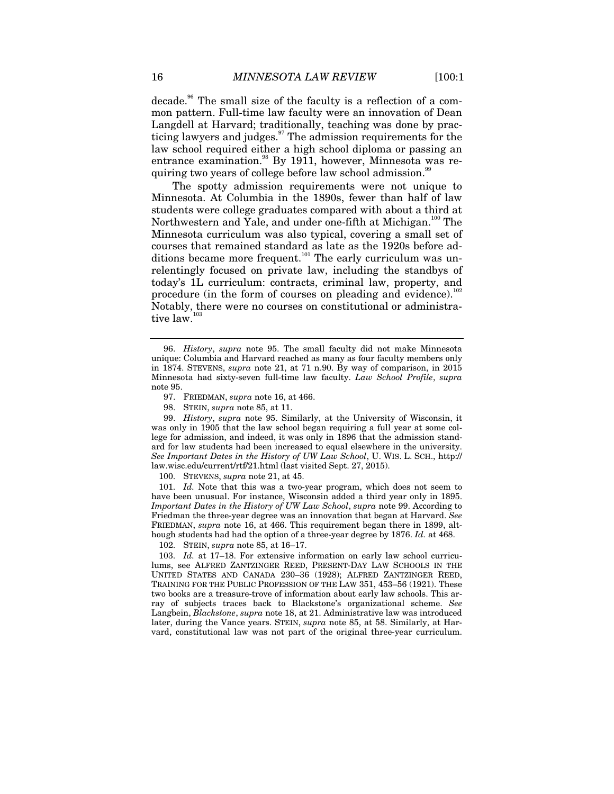decade.<sup>96</sup> The small size of the faculty is a reflection of a common pattern. Full-time law faculty were an innovation of Dean Langdell at Harvard; traditionally, teaching was done by practicing lawyers and judges.<sup>97</sup> The admission requirements for the law school required either a high school diploma or passing an entrance examination. $88$  By 1911, however, Minnesota was requiring two years of college before law school admission.<sup>99</sup>

The spotty admission requirements were not unique to Minnesota. At Columbia in the 1890s, fewer than half of law students were college graduates compared with about a third at Northwestern and Yale, and under one-fifth at Michigan.<sup>100</sup> The Minnesota curriculum was also typical, covering a small set of courses that remained standard as late as the 1920s before additions became more frequent.<sup>101</sup> The early curriculum was unrelentingly focused on private law, including the standbys of today's 1L curriculum: contracts, criminal law, property, and procedure (in the form of courses on pleading and evidence). $102$ Notably, there were no courses on constitutional or administrative  $law.^{103}$ 

97. FRIEDMAN, *supra* note 16, at 466.

98. STEIN, *supra* note 85, at 11.

99. *History*, *supra* note 95. Similarly, at the University of Wisconsin, it was only in 1905 that the law school began requiring a full year at some college for admission, and indeed, it was only in 1896 that the admission standard for law students had been increased to equal elsewhere in the university. *See Important Dates in the History of UW Law School*, U. WIS. L. SCH., http:// law.wisc.edu/current/rtf/21.html (last visited Sept. 27, 2015).

100. STEVENS, *supra* note 21, at 45.

 101. *Id.* Note that this was a two-year program, which does not seem to have been unusual. For instance, Wisconsin added a third year only in 1895. *Important Dates in the History of UW Law School*, *supra* note 99. According to Friedman the three-year degree was an innovation that began at Harvard. *See*  FRIEDMAN, *supra* note 16, at 466. This requirement began there in 1899, although students had had the option of a three-year degree by 1876. *Id.* at 468.

102. STEIN, *supra* note 85, at 16–17.

103. *Id.* at 17–18. For extensive information on early law school curriculums, see ALFRED ZANTZINGER REED, PRESENT-DAY LAW SCHOOLS IN THE UNITED STATES AND CANADA 230–36 (1928); ALFRED ZANTZINGER REED, TRAINING FOR THE PUBLIC PROFESSION OF THE LAW 351, 453–56 (1921). These two books are a treasure-trove of information about early law schools. This array of subjects traces back to Blackstone's organizational scheme. *See* Langbein, *Blackstone*, *supra* note 18, at 21. Administrative law was introduced later, during the Vance years. STEIN, *supra* note 85, at 58. Similarly, at Harvard, constitutional law was not part of the original three-year curriculum.

<sup>96.</sup> *History*, *supra* note 95. The small faculty did not make Minnesota unique: Columbia and Harvard reached as many as four faculty members only in 1874. STEVENS, *supra* note 21, at 71 n.90. By way of comparison, in 2015 Minnesota had sixty-seven full-time law faculty. *Law School Profile*, *supra*  note 95.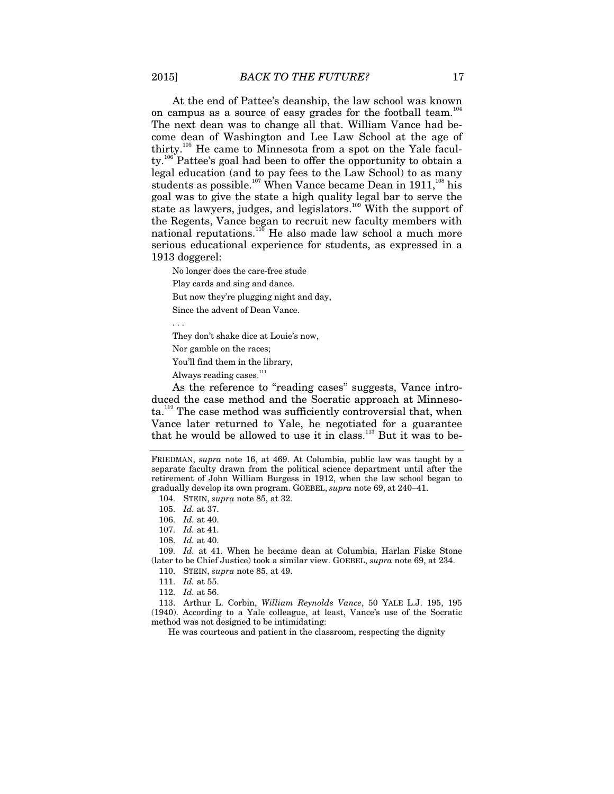At the end of Pattee's deanship, the law school was known on campus as a source of easy grades for the football team.<sup>104</sup> The next dean was to change all that. William Vance had become dean of Washington and Lee Law School at the age of thirty.105 He came to Minnesota from a spot on the Yale facul $t$ y.<sup>106</sup> Pattee's goal had been to offer the opportunity to obtain a legal education (and to pay fees to the Law School) to as many students as possible.<sup>107</sup> When Vance became Dean in 1911,<sup>108</sup> his goal was to give the state a high quality legal bar to serve the state as lawyers, judges, and legislators.<sup>109</sup> With the support of the Regents, Vance began to recruit new faculty members with national reputations.<sup>110</sup> He also made law school a much more serious educational experience for students, as expressed in a 1913 doggerel:

No longer does the care-free stude Play cards and sing and dance. But now they're plugging night and day,

Since the advent of Dean Vance.

They don't shake dice at Louie's now,

Nor gamble on the races;

You'll find them in the library,

Always reading cases.<sup>111</sup>

As the reference to "reading cases" suggests, Vance introduced the case method and the Socratic approach at Minnesota.<sup>112</sup> The case method was sufficiently controversial that, when Vance later returned to Yale, he negotiated for a guarantee that he would be allowed to use it in class. $113$  But it was to be-

104. STEIN, *supra* note 85, at 32.

106. *Id.* at 40.

108. *Id.* at 40.

109. *Id.* at 41. When he became dean at Columbia, Harlan Fiske Stone (later to be Chief Justice) took a similar view. GOEBEL, *supra* note 69, at 234.

110. STEIN, *supra* note 85, at 49.

111. *Id.* at 55.

112. *Id.* at 56.

 113. Arthur L. Corbin, *William Reynolds Vance*, 50 YALE L.J. 195, 195 (1940). According to a Yale colleague, at least, Vance's use of the Socratic method was not designed to be intimidating:

He was courteous and patient in the classroom, respecting the dignity

FRIEDMAN, *supra* note 16, at 469. At Columbia, public law was taught by a separate faculty drawn from the political science department until after the retirement of John William Burgess in 1912, when the law school began to gradually develop its own program. GOEBEL, *supra* note 69, at 240–41.

<sup>105.</sup> *Id.* at 37.

<sup>107.</sup> *Id.* at 41.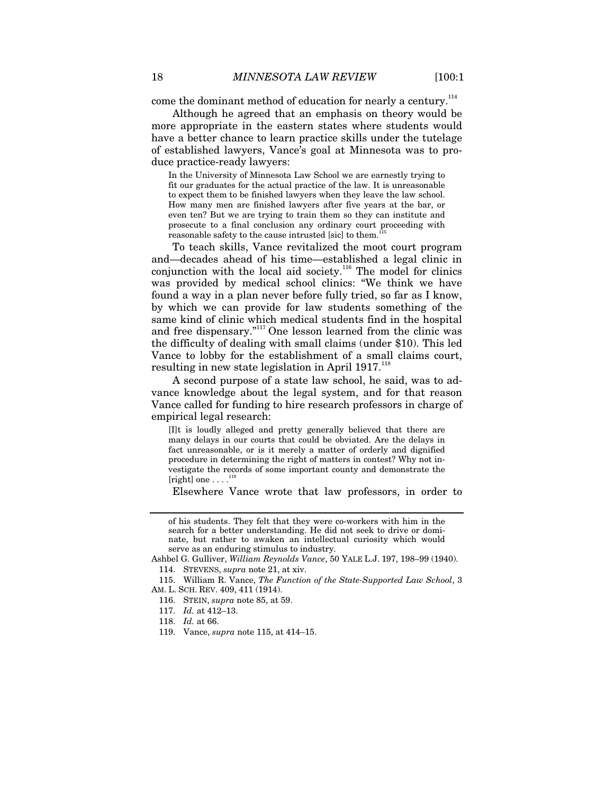come the dominant method of education for nearly a century.<sup>114</sup>

Although he agreed that an emphasis on theory would be more appropriate in the eastern states where students would have a better chance to learn practice skills under the tutelage of established lawyers, Vance's goal at Minnesota was to produce practice-ready lawyers:

In the University of Minnesota Law School we are earnestly trying to fit our graduates for the actual practice of the law. It is unreasonable to expect them to be finished lawyers when they leave the law school. How many men are finished lawyers after five years at the bar, or even ten? But we are trying to train them so they can institute and prosecute to a final conclusion any ordinary court proceeding with reasonable safety to the cause intrusted [sic] to them.<sup>1</sup>

To teach skills, Vance revitalized the moot court program and—decades ahead of his time—established a legal clinic in conjunction with the local aid society.<sup>116</sup> The model for clinics was provided by medical school clinics: "We think we have found a way in a plan never before fully tried, so far as I know, by which we can provide for law students something of the same kind of clinic which medical students find in the hospital and free dispensary."<sup>117</sup> One lesson learned from the clinic was the difficulty of dealing with small claims (under \$10). This led Vance to lobby for the establishment of a small claims court, resulting in new state legislation in April 1917.<sup>118</sup>

A second purpose of a state law school, he said, was to advance knowledge about the legal system, and for that reason Vance called for funding to hire research professors in charge of empirical legal research:

[I]t is loudly alleged and pretty generally believed that there are many delays in our courts that could be obviated. Are the delays in fact unreasonable, or is it merely a matter of orderly and dignified procedure in determining the right of matters in contest? Why not investigate the records of some important county and demonstrate the [right] one  $\dots$ .<sup>119</sup>

Elsewhere Vance wrote that law professors, in order to

of his students. They felt that they were co-workers with him in the search for a better understanding. He did not seek to drive or dominate, but rather to awaken an intellectual curiosity which would serve as an enduring stimulus to industry.

Ashbel G. Gulliver, *William Reynolds Vance*, 50 YALE L.J. 197, 198–99 (1940). 114. STEVENS, *supra* note 21, at xiv.

 <sup>115.</sup> William R. Vance, *The Function of the State-Supported Law School*, 3 AM. L. SCH. REV. 409, 411 (1914).

 <sup>116.</sup> STEIN, *supra* note 85, at 59.

<sup>117.</sup> *Id.* at 412–13.

<sup>118.</sup> *Id.* at 66.

 <sup>119.</sup> Vance, *supra* note 115, at 414–15.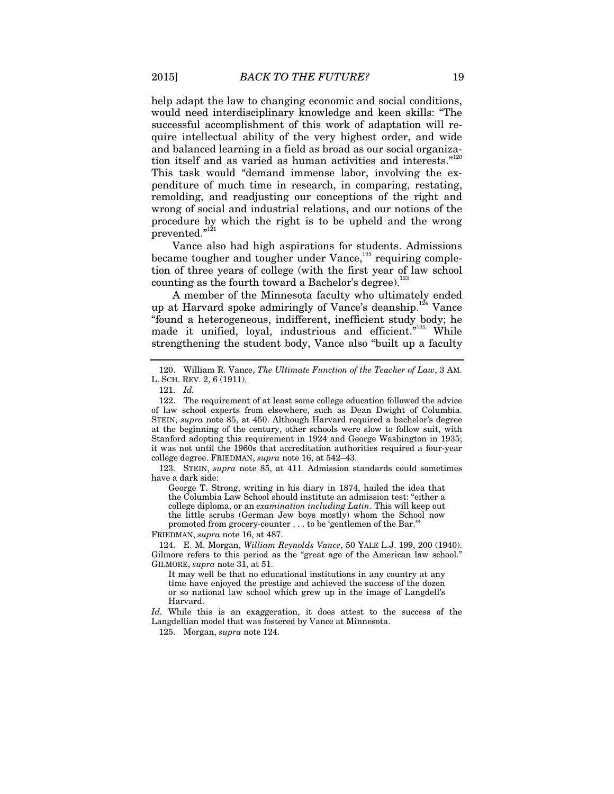help adapt the law to changing economic and social conditions, would need interdisciplinary knowledge and keen skills: "The successful accomplishment of this work of adaptation will require intellectual ability of the very highest order, and wide and balanced learning in a field as broad as our social organization itself and as varied as human activities and interests."<sup>120</sup> This task would "demand immense labor, involving the expenditure of much time in research, in comparing, restating, remolding, and readjusting our conceptions of the right and wrong of social and industrial relations, and our notions of the procedure by which the right is to be upheld and the wrong prevented."<sup>121</sup>

Vance also had high aspirations for students. Admissions became tougher and tougher under Vance,<sup>122</sup> requiring completion of three years of college (with the first year of law school counting as the fourth toward a Bachelor's degree). $^{123}$ 

A member of the Minnesota faculty who ultimately ended up at Harvard spoke admiringly of Vance's deanship.<sup>124</sup> Vance "found a heterogeneous, indifferent, inefficient study body; he made it unified, loyal, industrious and efficient."<sup>125</sup> While strengthening the student body, Vance also "built up a faculty

 123. STEIN, *supra* note 85, at 411. Admission standards could sometimes have a dark side:

George T. Strong, writing in his diary in 1874, hailed the idea that the Columbia Law School should institute an admission test: "either a college diploma, or an *examination including Latin*. This will keep out the little scrubs (German Jew boys mostly) whom the School now promoted from grocery-counter . . . to be 'gentlemen of the Bar.'"

FRIEDMAN, *supra* note 16, at 487.

 124. E. M. Morgan, *William Reynolds Vance*, 50 YALE L.J. 199, 200 (1940). Gilmore refers to this period as the "great age of the American law school." GILMORE, *supra* note 31, at 51.

It may well be that no educational institutions in any country at any time have enjoyed the prestige and achieved the success of the dozen or so national law school which grew up in the image of Langdell's Harvard.

*Id.* While this is an exaggeration, it does attest to the success of the Langdellian model that was fostered by Vance at Minnesota.

125. Morgan, *supra* note 124.

 <sup>120.</sup> William R. Vance, *The Ultimate Function of the Teacher of Law*, 3 AM. L. SCH. REV. 2, 6 (1911).

 <sup>121.</sup> *Id.*

 <sup>122.</sup> The requirement of at least some college education followed the advice of law school experts from elsewhere, such as Dean Dwight of Columbia. STEIN, *supra* note 85, at 450. Although Harvard required a bachelor's degree at the beginning of the century, other schools were slow to follow suit, with Stanford adopting this requirement in 1924 and George Washington in 1935; it was not until the 1960s that accreditation authorities required a four-year college degree. FRIEDMAN, *supra* note 16, at 542–43.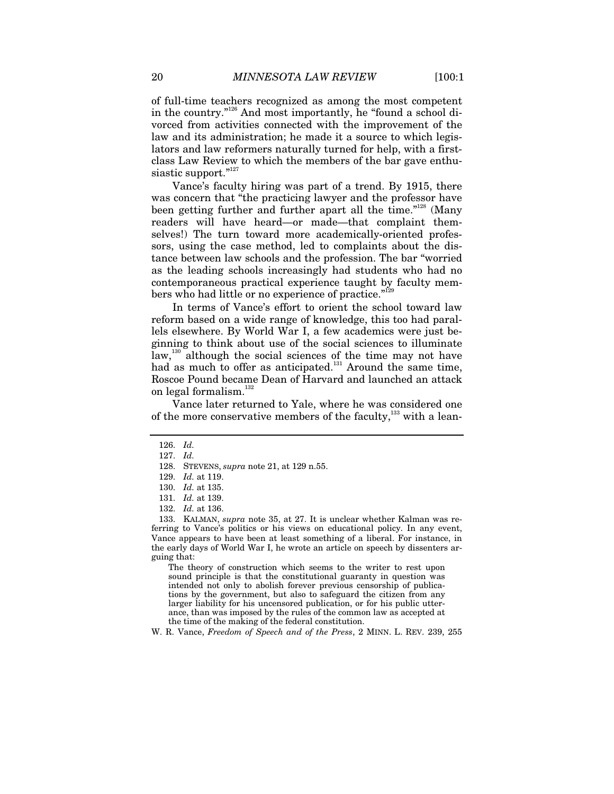of full-time teachers recognized as among the most competent in the country."126 And most importantly, he "found a school divorced from activities connected with the improvement of the law and its administration; he made it a source to which legislators and law reformers naturally turned for help, with a firstclass Law Review to which the members of the bar gave enthusiastic support."127

Vance's faculty hiring was part of a trend. By 1915, there was concern that "the practicing lawyer and the professor have been getting further and further apart all the time."<sup>128</sup> (Many readers will have heard—or made—that complaint themselves!) The turn toward more academically-oriented professors, using the case method, led to complaints about the distance between law schools and the profession. The bar "worried as the leading schools increasingly had students who had no contemporaneous practical experience taught by faculty members who had little or no experience of practice."<sup>129</sup>

In terms of Vance's effort to orient the school toward law reform based on a wide range of knowledge, this too had parallels elsewhere. By World War I, a few academics were just beginning to think about use of the social sciences to illuminate law,<sup>130</sup> although the social sciences of the time may not have had as much to offer as anticipated.<sup>131</sup> Around the same time, Roscoe Pound became Dean of Harvard and launched an attack on legal formalism. $132$ 

Vance later returned to Yale, where he was considered one of the more conservative members of the faculty, $^{133}$  with a lean-

 133. KALMAN, *supra* note 35, at 27. It is unclear whether Kalman was referring to Vance's politics or his views on educational policy. In any event, Vance appears to have been at least something of a liberal. For instance, in the early days of World War I, he wrote an article on speech by dissenters arguing that:

The theory of construction which seems to the writer to rest upon sound principle is that the constitutional guaranty in question was intended not only to abolish forever previous censorship of publications by the government, but also to safeguard the citizen from any larger liability for his uncensored publication, or for his public utterance, than was imposed by the rules of the common law as accepted at the time of the making of the federal constitution.

W. R. Vance, *Freedom of Speech and of the Press*, 2 MINN. L. REV. 239, 255

<sup>126.</sup> *Id.*

<sup>127.</sup> *Id.*

 <sup>128.</sup> STEVENS, *supra* note 21, at 129 n.55.

<sup>129.</sup> *Id.* at 119.

<sup>130.</sup> *Id.* at 135.

<sup>131.</sup> *Id.* at 139.

<sup>132.</sup> *Id.* at 136.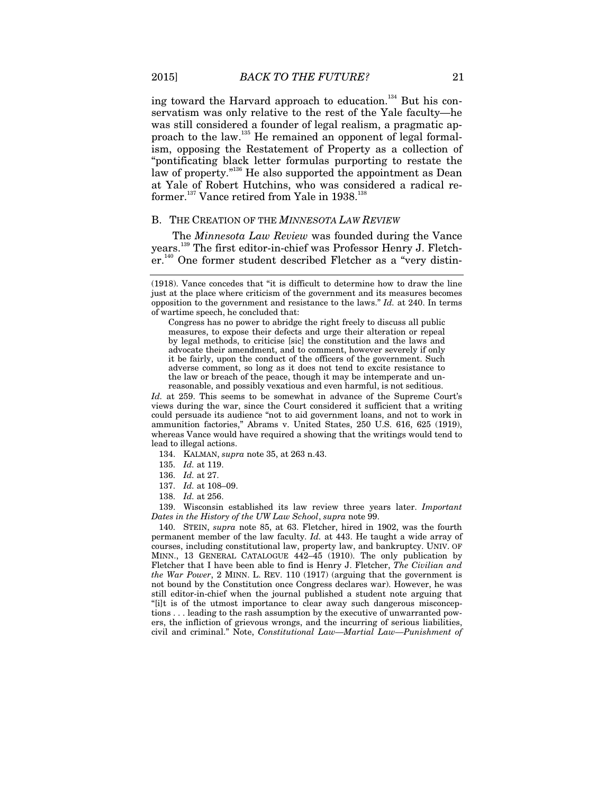ing toward the Harvard approach to education.<sup>134</sup> But his conservatism was only relative to the rest of the Yale faculty—he was still considered a founder of legal realism, a pragmatic approach to the law.<sup>135</sup> He remained an opponent of legal formalism, opposing the Restatement of Property as a collection of "pontificating black letter formulas purporting to restate the law of property."<sup>136</sup> He also supported the appointment as Dean at Yale of Robert Hutchins, who was considered a radical reformer.<sup>137</sup> Vance retired from Yale in 1938.<sup>138</sup>

#### B. THE CREATION OF THE *MINNESOTA LAW REVIEW*

The *Minnesota Law Review* was founded during the Vance years.139 The first editor-in-chief was Professor Henry J. Fletcher.<sup>140</sup> One former student described Fletcher as a "very distin-

*Id.* at 259. This seems to be somewhat in advance of the Supreme Court's views during the war, since the Court considered it sufficient that a writing could persuade its audience "not to aid government loans, and not to work in ammunition factories," Abrams v. United States, 250 U.S. 616, 625 (1919), whereas Vance would have required a showing that the writings would tend to lead to illegal actions.

- 134. KALMAN, *supra* note 35, at 263 n.43.
- 135. *Id.* at 119.
- 136. *Id.* at 27.
- 137. *Id.* at 108–09.
- 138. *Id.* at 256.

 139. Wisconsin established its law review three years later. *Important Dates in the History of the UW Law School*, *supra* note 99.

 140. STEIN, *supra* note 85, at 63. Fletcher, hired in 1902, was the fourth permanent member of the law faculty. *Id.* at 443. He taught a wide array of courses, including constitutional law, property law, and bankruptcy. UNIV. OF MINN., 13 GENERAL CATALOGUE 442–45 (1910). The only publication by Fletcher that I have been able to find is Henry J. Fletcher, *The Civilian and the War Power*, 2 MINN. L. REV. 110 (1917) (arguing that the government is not bound by the Constitution once Congress declares war). However, he was still editor-in-chief when the journal published a student note arguing that "[i]t is of the utmost importance to clear away such dangerous misconceptions . . . leading to the rash assumption by the executive of unwarranted powers, the infliction of grievous wrongs, and the incurring of serious liabilities, civil and criminal." Note, *Constitutional Law—Martial Law—Punishment of* 

<sup>(1918).</sup> Vance concedes that "it is difficult to determine how to draw the line just at the place where criticism of the government and its measures becomes opposition to the government and resistance to the laws." *Id.* at 240. In terms of wartime speech, he concluded that:

Congress has no power to abridge the right freely to discuss all public measures, to expose their defects and urge their alteration or repeal by legal methods, to criticise [sic] the constitution and the laws and advocate their amendment, and to comment, however severely if only it be fairly, upon the conduct of the officers of the government. Such adverse comment, so long as it does not tend to excite resistance to the law or breach of the peace, though it may be intemperate and unreasonable, and possibly vexatious and even harmful, is not seditious.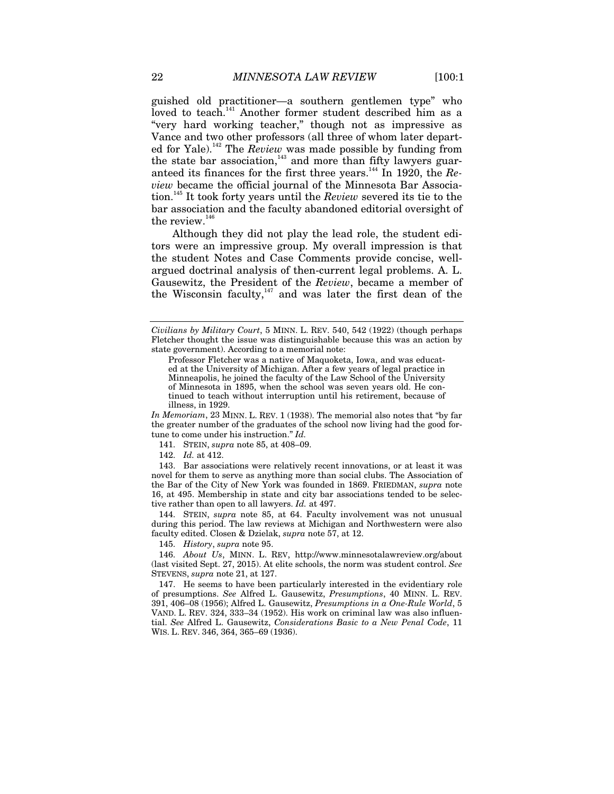guished old practitioner—a southern gentlemen type" who loved to teach.<sup>141</sup> Another former student described him as a "very hard working teacher," though not as impressive as Vance and two other professors (all three of whom later departed for Yale).<sup>142</sup> The *Review* was made possible by funding from the state bar association, $143$  and more than fifty lawyers guaranteed its finances for the first three years.<sup>144</sup> In 1920, the *Review* became the official journal of the Minnesota Bar Association.145 It took forty years until the *Review* severed its tie to the bar association and the faculty abandoned editorial oversight of the review. $146$ 

Although they did not play the lead role, the student editors were an impressive group. My overall impression is that the student Notes and Case Comments provide concise, wellargued doctrinal analysis of then-current legal problems. A. L. Gausewitz, the President of the *Review*, became a member of the Wisconsin faculty, $147$  and was later the first dean of the

*In Memoriam*, 23 MINN. L. REV. 1 (1938). The memorial also notes that "by far the greater number of the graduates of the school now living had the good fortune to come under his instruction." *Id.*

141. STEIN, *supra* note 85, at 408–09.

142. *Id.* at 412.

 143. Bar associations were relatively recent innovations, or at least it was novel for them to serve as anything more than social clubs. The Association of the Bar of the City of New York was founded in 1869. FRIEDMAN, *supra* note 16, at 495. Membership in state and city bar associations tended to be selective rather than open to all lawyers. *Id.* at 497.

 144. STEIN, *supra* note 85, at 64. Faculty involvement was not unusual during this period. The law reviews at Michigan and Northwestern were also faculty edited. Closen & Dzielak, *supra* note 57, at 12.

145. *History*, *supra* note 95.

 146. *About Us*, MINN. L. REV, http://www.minnesotalawreview.org/about (last visited Sept. 27, 2015). At elite schools, the norm was student control. *See* STEVENS, *supra* note 21, at 127.

 147. He seems to have been particularly interested in the evidentiary role of presumptions. *See* Alfred L. Gausewitz, *Presumptions*, 40 MINN. L. REV. 391, 406–08 (1956); Alfred L. Gausewitz, *Presumptions in a One-Rule World*, 5 VAND. L. REV. 324, 333–34 (1952). His work on criminal law was also influential. *See* Alfred L. Gausewitz, *Considerations Basic to a New Penal Code*, 11 WIS. L. REV. 346, 364, 365–69 (1936).

*Civilians by Military Court*, 5 MINN. L. REV. 540, 542 (1922) (though perhaps Fletcher thought the issue was distinguishable because this was an action by state government). According to a memorial note:

Professor Fletcher was a native of Maquoketa, Iowa, and was educated at the University of Michigan. After a few years of legal practice in Minneapolis, he joined the faculty of the Law School of the University of Minnesota in 1895, when the school was seven years old. He continued to teach without interruption until his retirement, because of illness, in 1929.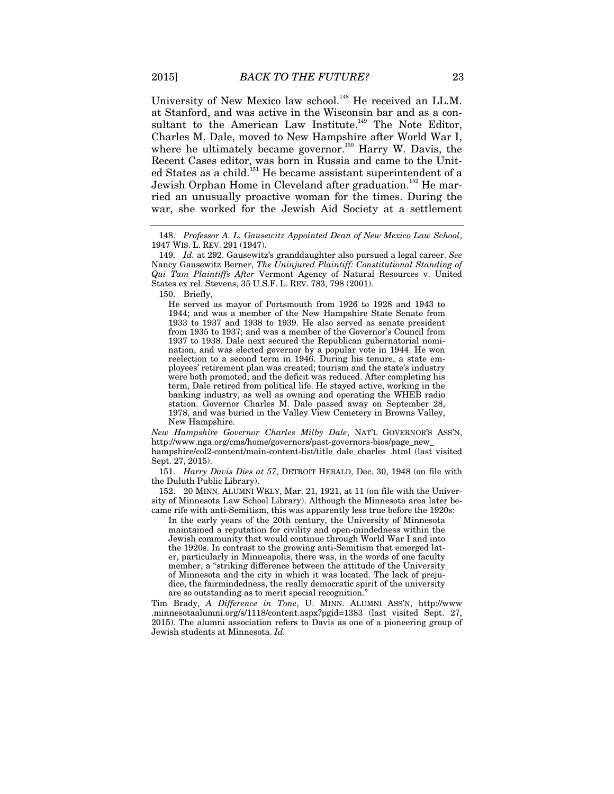University of New Mexico law school.<sup>148</sup> He received an LL.M. at Stanford, and was active in the Wisconsin bar and as a consultant to the American Law Institute.<sup>149</sup> The Note Editor, Charles M. Dale, moved to New Hampshire after World War I, where he ultimately became governor.<sup>150</sup> Harry W. Davis, the Recent Cases editor, was born in Russia and came to the United States as a child.<sup>151</sup> He became assistant superintendent of a Jewish Orphan Home in Cleveland after graduation.<sup>152</sup> He married an unusually proactive woman for the times. During the war, she worked for the Jewish Aid Society at a settlement

He served as mayor of Portsmouth from 1926 to 1928 and 1943 to 1944; and was a member of the New Hampshire State Senate from 1933 to 1937 and 1938 to 1939. He also served as senate president from 1935 to 1937; and was a member of the Governor's Council from 1937 to 1938. Dale next secured the Republican gubernatorial nomination, and was elected governor by a popular vote in 1944. He won reelection to a second term in 1946. During his tenure, a state employees' retirement plan was created; tourism and the state's industry were both promoted; and the deficit was reduced. After completing his term, Dale retired from political life. He stayed active, working in the banking industry, as well as owning and operating the WHEB radio station. Governor Charles M. Dale passed away on September 28, 1978, and was buried in the Valley View Cemetery in Browns Valley, New Hampshire.

*New Hampshire Governor Charles Milby Dale*, NAT'L GOVERNOR'S ASS'N, http://www.nga.org/cms/home/governors/past-governors-bios/page\_new\_ hampshire/col2-content/main-content-list/title\_dale\_charles .html (last visited Sept. 27, 2015).

151. *Harry Davis Dies at 57*, DETROIT HERALD, Dec. 30, 1948 (on file with the Duluth Public Library).

 152. 20 MINN. ALUMNI WKLY, Mar. 21, 1921, at 11 (on file with the University of Minnesota Law School Library). Although the Minnesota area later became rife with anti-Semitism, this was apparently less true before the 1920s:

In the early years of the 20th century, the University of Minnesota maintained a reputation for civility and open-mindedness within the Jewish community that would continue through World War I and into the 1920s. In contrast to the growing anti-Semitism that emerged later, particularly in Minneapolis, there was, in the words of one faculty member, a "striking difference between the attitude of the University of Minnesota and the city in which it was located. The lack of prejudice, the fairmindedness, the really democratic spirit of the university are so outstanding as to merit special recognition."

Tim Brady, *A Difference in Tone*, U. MINN. ALUMNI ASS'N, http://www .minnesotaalumni.org/s/1118/content.aspx?pgid=1383 (last visited Sept. 27, 2015). The alumni association refers to Davis as one of a pioneering group of Jewish students at Minnesota. *Id.*

<sup>148.</sup> *Professor A. L. Gausewitz Appointed Dean of New Mexico Law School*, 1947 WIS. L. REV. 291 (1947).

<sup>149.</sup> *Id.* at 292. Gausewitz's granddaughter also pursued a legal career. *See* Nancy Gausewitz Berner, *The Uninjured Plaintiff: Constitutional Standing of Qui Tam Plaintiffs After* Vermont Agency of Natural Resources v. United States ex rel. Stevens, 35 U.S.F. L. REV. 783, 798 (2001).

 <sup>150.</sup> Briefly,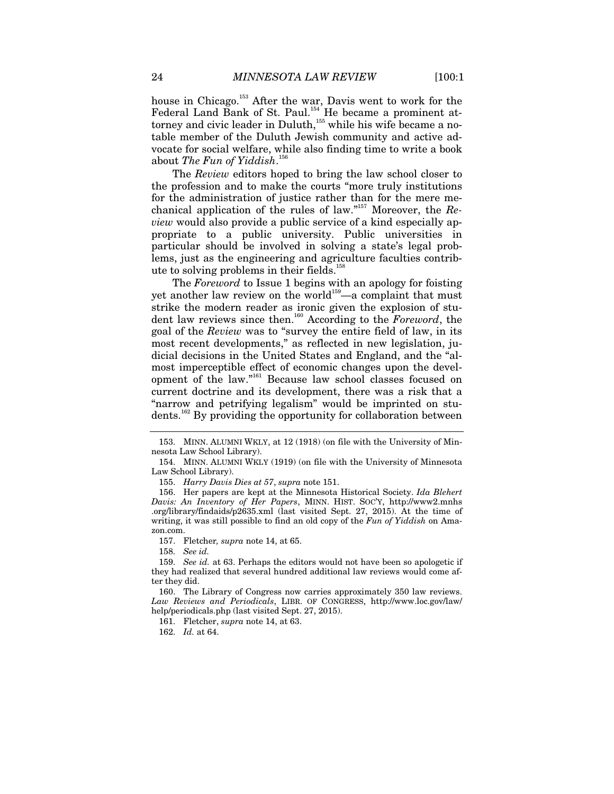house in Chicago.<sup>153</sup> After the war, Davis went to work for the Federal Land Bank of St. Paul.<sup>154</sup> He became a prominent attorney and civic leader in Duluth,<sup>155</sup> while his wife became a notable member of the Duluth Jewish community and active advocate for social welfare, while also finding time to write a book about *The Fun of Yiddish*. 156

The *Review* editors hoped to bring the law school closer to the profession and to make the courts "more truly institutions for the administration of justice rather than for the mere mechanical application of the rules of law."157 Moreover, the *Review* would also provide a public service of a kind especially appropriate to a public university. Public universities in particular should be involved in solving a state's legal problems, just as the engineering and agriculture faculties contribute to solving problems in their fields.<sup>158</sup>

The *Foreword* to Issue 1 begins with an apology for foisting yet another law review on the world<sup>159</sup>—a complaint that must strike the modern reader as ironic given the explosion of student law reviews since then.160 According to the *Foreword*, the goal of the *Review* was to "survey the entire field of law, in its most recent developments," as reflected in new legislation, judicial decisions in the United States and England, and the "almost imperceptible effect of economic changes upon the development of the law."<sup>161</sup> Because law school classes focused on current doctrine and its development, there was a risk that a "narrow and petrifying legalism" would be imprinted on students.162 By providing the opportunity for collaboration between

155. *Harry Davis Dies at 57*, *supra* note 151.

 156. Her papers are kept at the Minnesota Historical Society. *Ida Blehert Davis: An Inventory of Her Papers*, MINN. HIST. SOC'Y, http://www2.mnhs .org/library/findaids/p2635.xml (last visited Sept. 27, 2015). At the time of writing, it was still possible to find an old copy of the *Fun of Yiddish* on Amazon.com.

157. Fletcher*, supra* note 14, at 65.

158. *See id.*

 160. The Library of Congress now carries approximately 350 law reviews. *Law Reviews and Periodicals*, LIBR. OF CONGRESS, http://www.loc.gov/law/ help/periodicals.php (last visited Sept. 27, 2015).

161. Fletcher, *supra* note 14, at 63.

162. *Id.* at 64.

 <sup>153.</sup> MINN. ALUMNI WKLY, at 12 (1918) (on file with the University of Minnesota Law School Library).

 <sup>154.</sup> MINN. ALUMNI WKLY (1919) (on file with the University of Minnesota Law School Library).

<sup>159.</sup> *See id.* at 63. Perhaps the editors would not have been so apologetic if they had realized that several hundred additional law reviews would come after they did.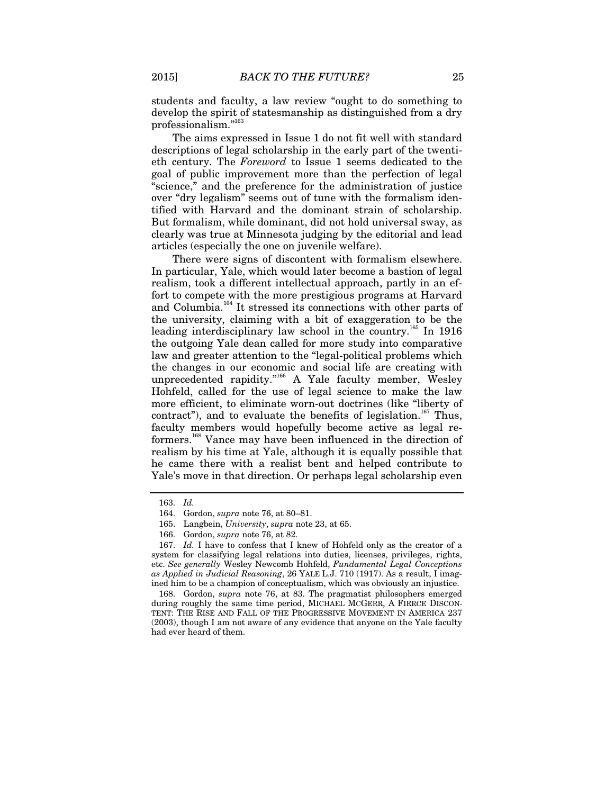students and faculty, a law review "ought to do something to develop the spirit of statesmanship as distinguished from a dry professionalism."<sup>16</sup>

The aims expressed in Issue 1 do not fit well with standard descriptions of legal scholarship in the early part of the twentieth century. The *Foreword* to Issue 1 seems dedicated to the goal of public improvement more than the perfection of legal "science," and the preference for the administration of justice over "dry legalism" seems out of tune with the formalism identified with Harvard and the dominant strain of scholarship. But formalism, while dominant, did not hold universal sway, as clearly was true at Minnesota judging by the editorial and lead articles (especially the one on juvenile welfare).

There were signs of discontent with formalism elsewhere. In particular, Yale, which would later become a bastion of legal realism, took a different intellectual approach, partly in an effort to compete with the more prestigious programs at Harvard and Columbia.<sup>164</sup> It stressed its connections with other parts of the university, claiming with a bit of exaggeration to be the leading interdisciplinary law school in the country.<sup>165</sup> In 1916 the outgoing Yale dean called for more study into comparative law and greater attention to the "legal-political problems which the changes in our economic and social life are creating with unprecedented rapidity."<sup>166</sup> A Yale faculty member, Wesley Hohfeld, called for the use of legal science to make the law more efficient, to eliminate worn-out doctrines (like "liberty of contract"), and to evaluate the benefits of legislation.<sup>167</sup> Thus, faculty members would hopefully become active as legal reformers.<sup>168</sup> Vance may have been influenced in the direction of realism by his time at Yale, although it is equally possible that he came there with a realist bent and helped contribute to Yale's move in that direction. Or perhaps legal scholarship even

<sup>163.</sup> *Id.*

 <sup>164.</sup> Gordon, *supra* note 76, at 80–81.

 <sup>165.</sup> Langbein, *University*, *supra* note 23, at 65.

 <sup>166.</sup> Gordon, *supra* note 76, at 82.

<sup>167.</sup> *Id.* I have to confess that I knew of Hohfeld only as the creator of a system for classifying legal relations into duties, licenses, privileges, rights, etc. *See generally* Wesley Newcomb Hohfeld, *Fundamental Legal Conceptions as Applied in Judicial Reasoning*, 26 YALE L.J. 710 (1917). As a result, I imagined him to be a champion of conceptualism, which was obviously an injustice.

 <sup>168.</sup> Gordon, *supra* note 76, at 83. The pragmatist philosophers emerged during roughly the same time period, MICHAEL MCGERR, A FIERCE DISCON-TENT: THE RISE AND FALL OF THE PROGRESSIVE MOVEMENT IN AMERICA 237 (2003), though I am not aware of any evidence that anyone on the Yale faculty had ever heard of them.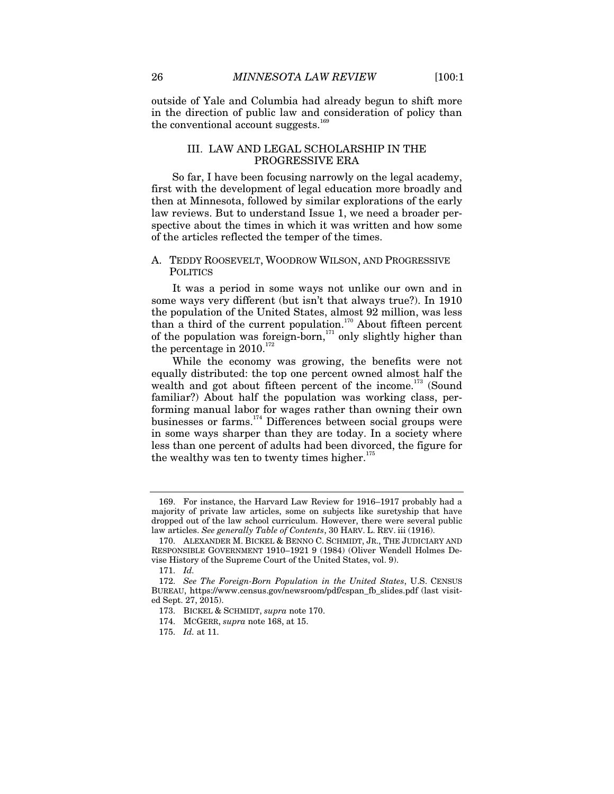outside of Yale and Columbia had already begun to shift more in the direction of public law and consideration of policy than the conventional account suggests. $169$ 

# III. LAW AND LEGAL SCHOLARSHIP IN THE PROGRESSIVE ERA

So far, I have been focusing narrowly on the legal academy, first with the development of legal education more broadly and then at Minnesota, followed by similar explorations of the early law reviews. But to understand Issue 1, we need a broader perspective about the times in which it was written and how some of the articles reflected the temper of the times.

# A. TEDDY ROOSEVELT, WOODROW WILSON, AND PROGRESSIVE POLITICS

It was a period in some ways not unlike our own and in some ways very different (but isn't that always true?). In 1910 the population of the United States, almost 92 million, was less than a third of the current population.<sup>170</sup> About fifteen percent of the population was foreign-born, $171$  only slightly higher than the percentage in  $2010^{172}$ 

While the economy was growing, the benefits were not equally distributed: the top one percent owned almost half the wealth and got about fifteen percent of the income.<sup>173</sup> (Sound familiar?) About half the population was working class, performing manual labor for wages rather than owning their own businesses or farms.<sup>174</sup> Differences between social groups were in some ways sharper than they are today. In a society where less than one percent of adults had been divorced, the figure for the wealthy was ten to twenty times higher. $175$ 

 <sup>169.</sup> For instance, the Harvard Law Review for 1916–1917 probably had a majority of private law articles, some on subjects like suretyship that have dropped out of the law school curriculum. However, there were several public law articles. *See generally Table of Contents*, 30 HARV. L. REV. iii (1916).

 <sup>170.</sup> ALEXANDER M. BICKEL & BENNO C. SCHMIDT, JR., THE JUDICIARY AND RESPONSIBLE GOVERNMENT 1910–1921 9 (1984) (Oliver Wendell Holmes Devise History of the Supreme Court of the United States, vol. 9).

 <sup>171.</sup> *Id.*

<sup>172.</sup> *See The Foreign-Born Population in the United States*, U.S. CENSUS BUREAU, https://www.census.gov/newsroom/pdf/cspan\_fb\_slides.pdf (last visited Sept. 27, 2015).

 <sup>173.</sup> BICKEL & SCHMIDT, *supra* note 170.

 <sup>174.</sup> MCGERR, *supra* note 168, at 15.

<sup>175.</sup> *Id.* at 11.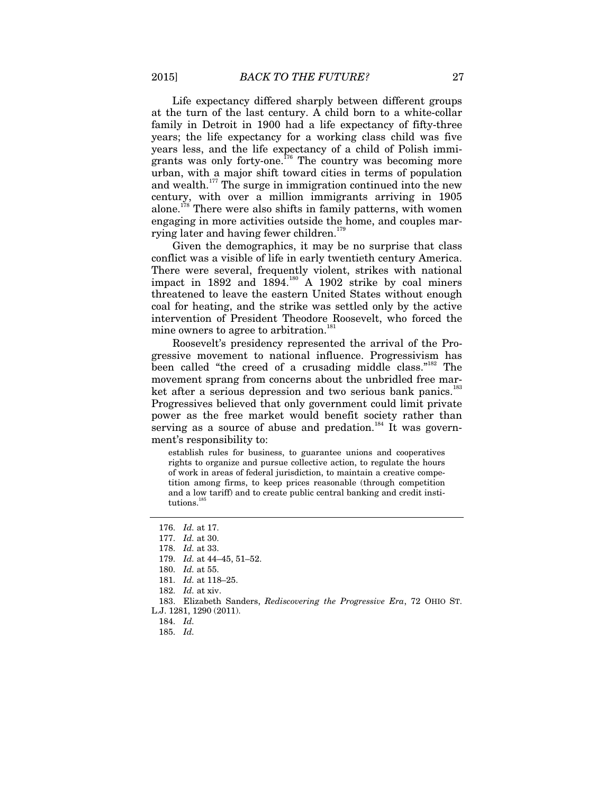Life expectancy differed sharply between different groups at the turn of the last century. A child born to a white-collar family in Detroit in 1900 had a life expectancy of fifty-three years; the life expectancy for a working class child was five years less, and the life expectancy of a child of Polish immigrants was only forty-one.<sup> $776$ </sup> The country was becoming more urban, with a major shift toward cities in terms of population and wealth. $177$  The surge in immigration continued into the new century, with over a million immigrants arriving in 1905 alone.<sup>178</sup> There were also shifts in family patterns, with women engaging in more activities outside the home, and couples marrying later and having fewer children.<sup>179</sup>

Given the demographics, it may be no surprise that class conflict was a visible of life in early twentieth century America. There were several, frequently violent, strikes with national impact in 1892 and  $1894.<sup>180</sup>$  A 1902 strike by coal miners threatened to leave the eastern United States without enough coal for heating, and the strike was settled only by the active intervention of President Theodore Roosevelt, who forced the mine owners to agree to arbitration.<sup>181</sup>

Roosevelt's presidency represented the arrival of the Progressive movement to national influence. Progressivism has been called "the creed of a crusading middle class."<sup>182</sup> The movement sprang from concerns about the unbridled free market after a serious depression and two serious bank panics.<sup>183</sup> Progressives believed that only government could limit private power as the free market would benefit society rather than serving as a source of abuse and predation.<sup>184</sup> It was government's responsibility to:

establish rules for business, to guarantee unions and cooperatives rights to organize and pursue collective action, to regulate the hours of work in areas of federal jurisdiction, to maintain a creative competition among firms, to keep prices reasonable (through competition and a low tariff) and to create public central banking and credit institutions.<sup>1</sup>

180. *Id.* at 55.

<sup>176.</sup> *Id.* at 17.

<sup>177.</sup> *Id.* at 30.

<sup>178.</sup> *Id.* at 33.

<sup>179.</sup> *Id.* at 44–45, 51–52.

<sup>181.</sup> *Id.* at 118–25.

<sup>182.</sup> *Id.* at xiv.

 <sup>183.</sup> Elizabeth Sanders, *Rediscovering the Progressive Era*, 72 OHIO ST. L.J. 1281, 1290 (2011).

<sup>184.</sup> *Id.*

<sup>185.</sup> *Id.*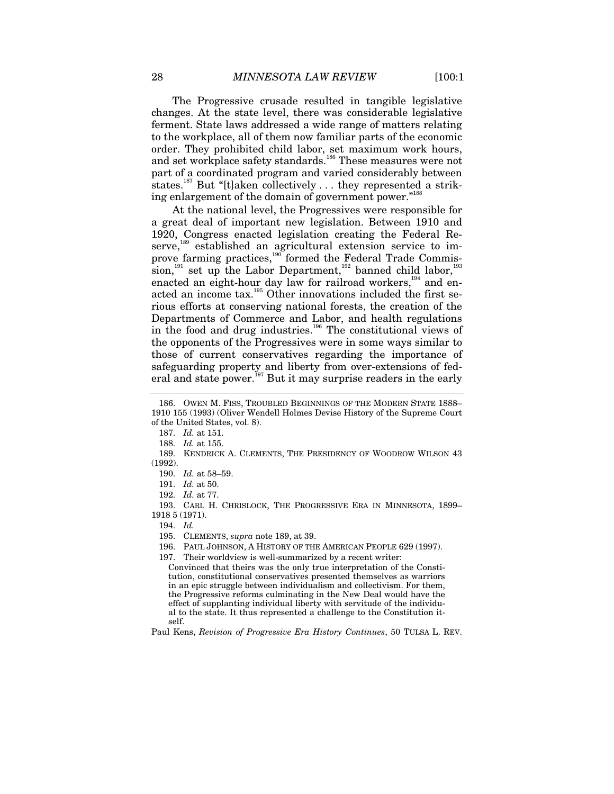The Progressive crusade resulted in tangible legislative changes. At the state level, there was considerable legislative ferment. State laws addressed a wide range of matters relating to the workplace, all of them now familiar parts of the economic order. They prohibited child labor, set maximum work hours, and set workplace safety standards.<sup>186</sup> These measures were not part of a coordinated program and varied considerably between states.<sup>187</sup> But "[t]aken collectively . . . they represented a striking enlargement of the domain of government power."<sup>188</sup>

At the national level, the Progressives were responsible for a great deal of important new legislation. Between 1910 and 1920, Congress enacted legislation creating the Federal Reserve,<sup>189</sup> established an agricultural extension service to improve farming practices,<sup>190</sup> formed the Federal Trade Commission, $191$  set up the Labor Department, $192$  banned child labor,  $193$ enacted an eight-hour day law for railroad workers,<sup>194</sup> and enacted an income tax.<sup>195</sup> Other innovations included the first serious efforts at conserving national forests, the creation of the Departments of Commerce and Labor, and health regulations in the food and drug industries.196 The constitutional views of the opponents of the Progressives were in some ways similar to those of current conservatives regarding the importance of safeguarding property and liberty from over-extensions of federal and state power.<sup>197</sup> But it may surprise readers in the early

194. *Id.*

Paul Kens, *Revision of Progressive Era History Continues*, 50 TULSA L. REV.

 <sup>186.</sup> OWEN M. FISS, TROUBLED BEGINNINGS OF THE MODERN STATE 1888– 1910 155 (1993) (Oliver Wendell Holmes Devise History of the Supreme Court of the United States, vol. 8).

<sup>187.</sup> *Id.* at 151.

<sup>188.</sup> *Id.* at 155.

 <sup>189.</sup> KENDRICK A. CLEMENTS, THE PRESIDENCY OF WOODROW WILSON 43 (1992).

<sup>190.</sup> *Id.* at 58–59.

<sup>191.</sup> *Id.* at 50.

<sup>192.</sup> *Id.* at 77.

 <sup>193.</sup> CARL H. CHRISLOCK, THE PROGRESSIVE ERA IN MINNESOTA, 1899– 1918 5 (1971).

 <sup>195.</sup> CLEMENTS, *supra* note 189, at 39.

 <sup>196.</sup> PAUL JOHNSON, A HISTORY OF THE AMERICAN PEOPLE 629 (1997).

 <sup>197.</sup> Their worldview is well-summarized by a recent writer:

Convinced that theirs was the only true interpretation of the Constitution, constitutional conservatives presented themselves as warriors in an epic struggle between individualism and collectivism. For them, the Progressive reforms culminating in the New Deal would have the effect of supplanting individual liberty with servitude of the individual to the state. It thus represented a challenge to the Constitution itself.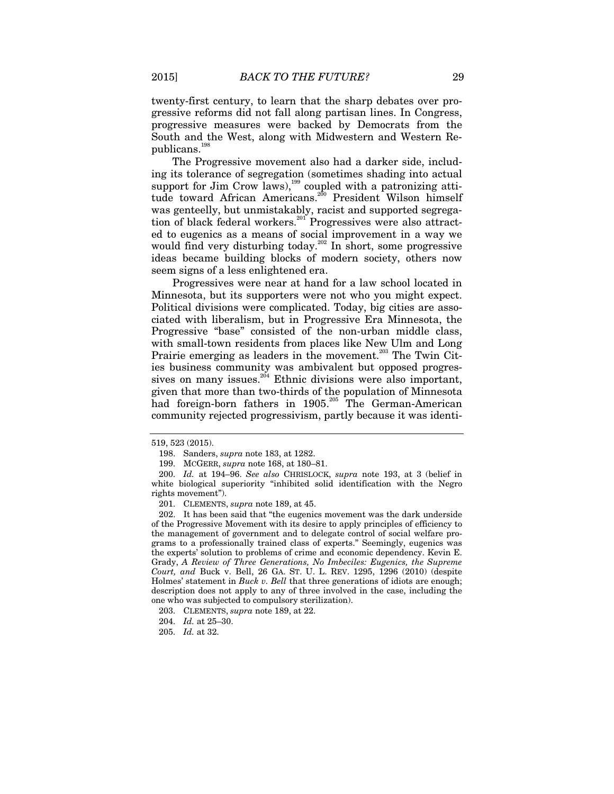twenty-first century, to learn that the sharp debates over progressive reforms did not fall along partisan lines. In Congress, progressive measures were backed by Democrats from the South and the West, along with Midwestern and Western Republicans.<sup>19</sup>

The Progressive movement also had a darker side, including its tolerance of segregation (sometimes shading into actual support for Jim Crow laws),<sup>199</sup> coupled with a patronizing attitude toward African Americans.<sup>200</sup> President Wilson himself was genteelly, but unmistakably, racist and supported segregation of black federal workers.<sup>201</sup> Progressives were also attracted to eugenics as a means of social improvement in a way we would find very disturbing today.<sup>202</sup> In short, some progressive ideas became building blocks of modern society, others now seem signs of a less enlightened era.

Progressives were near at hand for a law school located in Minnesota, but its supporters were not who you might expect. Political divisions were complicated. Today, big cities are associated with liberalism, but in Progressive Era Minnesota, the Progressive "base" consisted of the non-urban middle class, with small-town residents from places like New Ulm and Long Prairie emerging as leaders in the movement.<sup>203</sup> The Twin Cities business community was ambivalent but opposed progressives on many issues.<sup>204</sup> Ethnic divisions were also important, given that more than two-thirds of the population of Minnesota had foreign-born fathers in 1905.<sup>205</sup> The German-American community rejected progressivism, partly because it was identi-

201. CLEMENTS, *supra* note 189, at 45.

 202. It has been said that "the eugenics movement was the dark underside of the Progressive Movement with its desire to apply principles of efficiency to the management of government and to delegate control of social welfare programs to a professionally trained class of experts." Seemingly, eugenics was the experts' solution to problems of crime and economic dependency. Kevin E. Grady, *A Review of Three Generations, No Imbeciles: Eugenics, the Supreme Court, and* Buck v. Bell, 26 GA. ST. U. L. REV. 1295, 1296 (2010) (despite Holmes' statement in *Buck v. Bell* that three generations of idiots are enough; description does not apply to any of three involved in the case, including the one who was subjected to compulsory sterilization).

<sup>519, 523 (2015).</sup> 

 <sup>198.</sup> Sanders, *supra* note 183, at 1282.

 <sup>199.</sup> MCGERR, *supra* note 168, at 180–81.

<sup>200.</sup> *Id.* at 194–96. *See also* CHRISLOCK, *supra* note 193, at 3 (belief in white biological superiority "inhibited solid identification with the Negro rights movement").

 <sup>203.</sup> CLEMENTS, *supra* note 189, at 22.

<sup>204.</sup> *Id.* at 25–30.

<sup>205.</sup> *Id.* at 32.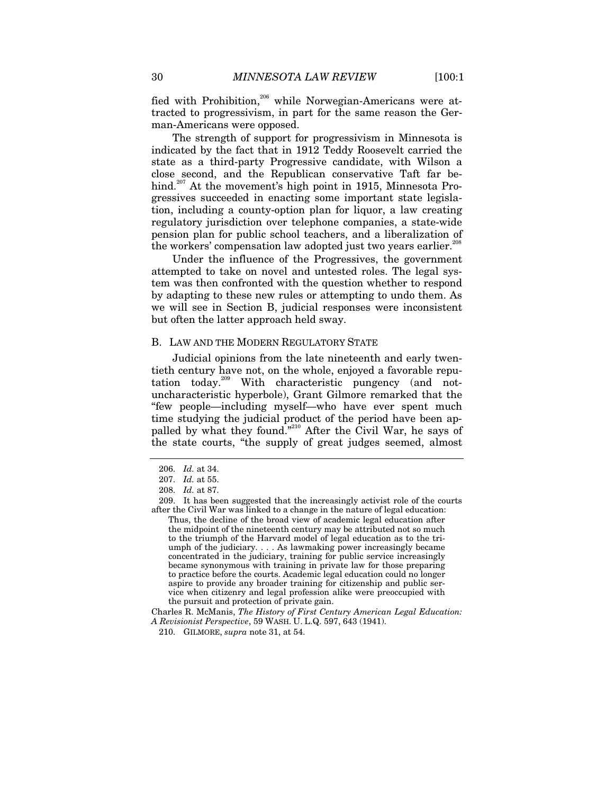fied with Prohibition,<sup>206</sup> while Norwegian-Americans were attracted to progressivism, in part for the same reason the German-Americans were opposed.

The strength of support for progressivism in Minnesota is indicated by the fact that in 1912 Teddy Roosevelt carried the state as a third-party Progressive candidate, with Wilson a close second, and the Republican conservative Taft far behind.<sup>207</sup> At the movement's high point in 1915, Minnesota Progressives succeeded in enacting some important state legislation, including a county-option plan for liquor, a law creating regulatory jurisdiction over telephone companies, a state-wide pension plan for public school teachers, and a liberalization of the workers' compensation law adopted just two years earlier.<sup>208</sup>

Under the influence of the Progressives, the government attempted to take on novel and untested roles. The legal system was then confronted with the question whether to respond by adapting to these new rules or attempting to undo them. As we will see in Section B, judicial responses were inconsistent but often the latter approach held sway.

#### B. LAW AND THE MODERN REGULATORY STATE

Judicial opinions from the late nineteenth and early twentieth century have not, on the whole, enjoyed a favorable reputation today.209 With characteristic pungency (and notuncharacteristic hyperbole), Grant Gilmore remarked that the "few people—including myself—who have ever spent much time studying the judicial product of the period have been appalled by what they found."<sup>210</sup> After the Civil War, he says of the state courts, "the supply of great judges seemed, almost

<sup>206.</sup> *Id.* at 34.

<sup>207.</sup> *Id.* at 55.

<sup>208.</sup> *Id.* at 87.

 <sup>209.</sup> It has been suggested that the increasingly activist role of the courts after the Civil War was linked to a change in the nature of legal education: Thus, the decline of the broad view of academic legal education after the midpoint of the nineteenth century may be attributed not so much to the triumph of the Harvard model of legal education as to the triumph of the judiciary. . . . As lawmaking power increasingly became concentrated in the judiciary, training for public service increasingly became synonymous with training in private law for those preparing to practice before the courts. Academic legal education could no longer aspire to provide any broader training for citizenship and public service when citizenry and legal profession alike were preoccupied with the pursuit and protection of private gain.

Charles R. McManis, *The History of First Century American Legal Education: A Revisionist Perspective*, 59 WASH. U. L.Q. 597, 643 (1941).

 <sup>210.</sup> GILMORE, *supra* note 31, at 54.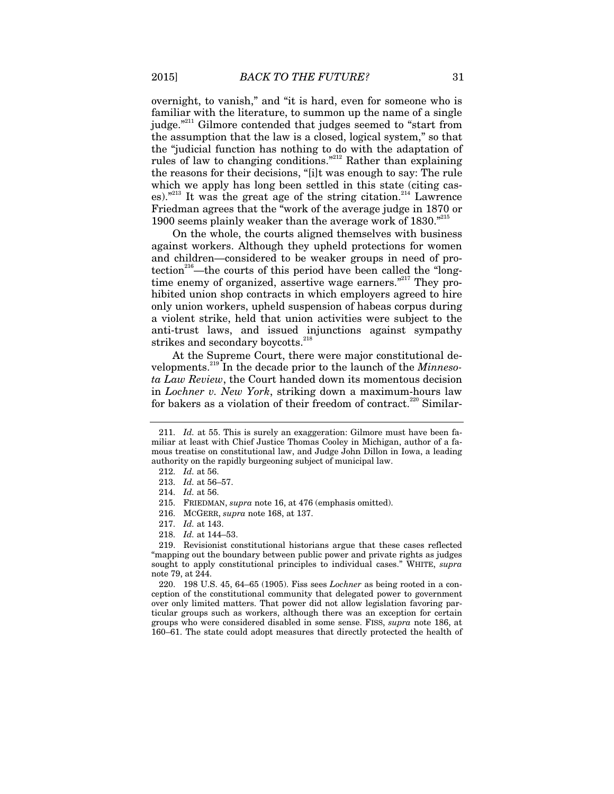overnight, to vanish," and "it is hard, even for someone who is familiar with the literature, to summon up the name of a single judge."<sup>211</sup> Gilmore contended that judges seemed to "start from the assumption that the law is a closed, logical system," so that the "judicial function has nothing to do with the adaptation of rules of law to changing conditions."212 Rather than explaining the reasons for their decisions, "[i]t was enough to say: The rule which we apply has long been settled in this state (citing cases)."<sup>213</sup> It was the great age of the string citation.<sup>214</sup> Lawrence Friedman agrees that the "work of the average judge in 1870 or 1900 seems plainly weaker than the average work of  $1830.^{"215}$ 

On the whole, the courts aligned themselves with business against workers. Although they upheld protections for women and children—considered to be weaker groups in need of protection<sup>216</sup>—the courts of this period have been called the "longtime enemy of organized, assertive wage earners."<sup>217</sup> They prohibited union shop contracts in which employers agreed to hire only union workers, upheld suspension of habeas corpus during a violent strike, held that union activities were subject to the anti-trust laws, and issued injunctions against sympathy strikes and secondary boycotts.<sup>218</sup>

At the Supreme Court, there were major constitutional developments.219 In the decade prior to the launch of the *Minnesota Law Review*, the Court handed down its momentous decision in *Lochner v. New York*, striking down a maximum-hours law for bakers as a violation of their freedom of contract.<sup>220</sup> Similar-

<sup>211.</sup> *Id.* at 55. This is surely an exaggeration: Gilmore must have been familiar at least with Chief Justice Thomas Cooley in Michigan, author of a famous treatise on constitutional law, and Judge John Dillon in Iowa, a leading authority on the rapidly burgeoning subject of municipal law.

<sup>212.</sup> *Id.* at 56.

<sup>213.</sup> *Id.* at 56–57.

<sup>214.</sup> *Id.* at 56.

 <sup>215.</sup> FRIEDMAN, *supra* note 16, at 476 (emphasis omitted).

 <sup>216.</sup> MCGERR, *supra* note 168, at 137.

<sup>217.</sup> *Id.* at 143.

<sup>218.</sup> *Id.* at 144–53.

 <sup>219.</sup> Revisionist constitutional historians argue that these cases reflected "mapping out the boundary between public power and private rights as judges sought to apply constitutional principles to individual cases." WHITE, *supra* note 79, at 244.

 <sup>220. 198</sup> U.S. 45, 64–65 (1905). Fiss sees *Lochner* as being rooted in a conception of the constitutional community that delegated power to government over only limited matters. That power did not allow legislation favoring particular groups such as workers, although there was an exception for certain groups who were considered disabled in some sense. FISS, *supra* note 186, at 160–61. The state could adopt measures that directly protected the health of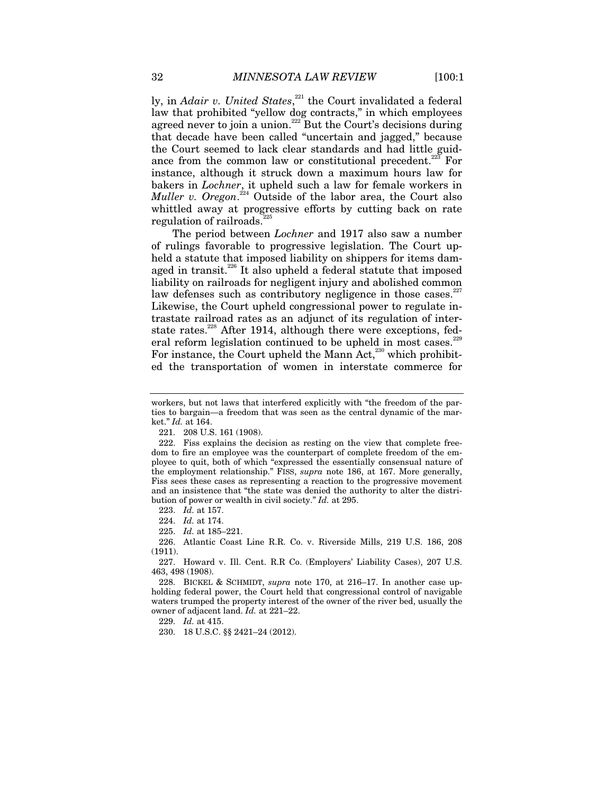ly, in *Adair v. United States*,<sup>221</sup> the Court invalidated a federal law that prohibited "yellow dog contracts," in which employees agreed never to join a union.<sup>222</sup> But the Court's decisions during that decade have been called "uncertain and jagged," because the Court seemed to lack clear standards and had little guidance from the common law or constitutional precedent.<sup>223</sup> For instance, although it struck down a maximum hours law for bakers in *Lochner*, it upheld such a law for female workers in *Muller v. Oregon*. 224 Outside of the labor area, the Court also whittled away at progressive efforts by cutting back on rate regulation of railroads.

The period between *Lochner* and 1917 also saw a number of rulings favorable to progressive legislation. The Court upheld a statute that imposed liability on shippers for items damaged in transit.<sup>226</sup> It also upheld a federal statute that imposed liability on railroads for negligent injury and abolished common law defenses such as contributory negligence in those cases.<sup>227</sup> Likewise, the Court upheld congressional power to regulate intrastate railroad rates as an adjunct of its regulation of interstate rates.<sup>228</sup> After 1914, although there were exceptions, federal reform legislation continued to be upheld in most cases.<sup>229</sup> For instance, the Court upheld the Mann Act,<sup>230</sup> which prohibited the transportation of women in interstate commerce for

223. *Id.* at 157.

224. *Id.* at 174.

225. *Id.* at 185–221.

 226. Atlantic Coast Line R.R. Co. v. Riverside Mills, 219 U.S. 186, 208 (1911).

 227. Howard v. Ill. Cent. R.R Co. (Employers' Liability Cases), 207 U.S. 463, 498 (1908).

 228. BICKEL & SCHMIDT, *supra* note 170, at 216–17. In another case upholding federal power, the Court held that congressional control of navigable waters trumped the property interest of the owner of the river bed, usually the owner of adjacent land. *Id.* at 221–22.

229. *Id.* at 415.

230. 18 U.S.C. §§ 2421–24 (2012).

workers, but not laws that interfered explicitly with "the freedom of the parties to bargain—a freedom that was seen as the central dynamic of the market." *Id.* at 164.

 <sup>221. 208</sup> U.S. 161 (1908).

 <sup>222.</sup> Fiss explains the decision as resting on the view that complete freedom to fire an employee was the counterpart of complete freedom of the employee to quit, both of which "expressed the essentially consensual nature of the employment relationship." FISS, *supra* note 186, at 167. More generally, Fiss sees these cases as representing a reaction to the progressive movement and an insistence that "the state was denied the authority to alter the distribution of power or wealth in civil society." *Id.* at 295.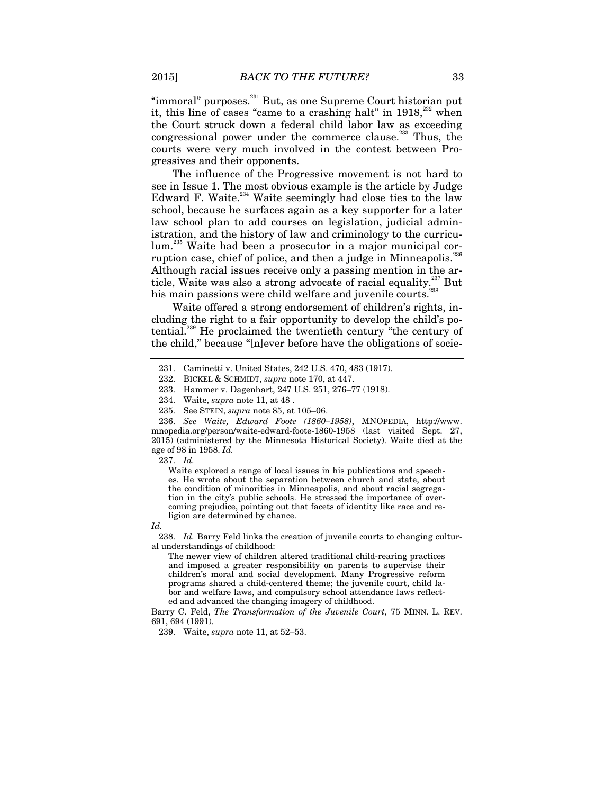"immoral" purposes.<sup>231</sup> But, as one Supreme Court historian put it, this line of cases "came to a crashing halt" in  $1918$ ,  $232$  when the Court struck down a federal child labor law as exceeding congressional power under the commerce clause.<sup>233</sup> Thus, the courts were very much involved in the contest between Progressives and their opponents.

The influence of the Progressive movement is not hard to see in Issue 1. The most obvious example is the article by Judge Edward F. Waite. $234$  Waite seemingly had close ties to the law school, because he surfaces again as a key supporter for a later law school plan to add courses on legislation, judicial administration, and the history of law and criminology to the curriculum.235 Waite had been a prosecutor in a major municipal corruption case, chief of police, and then a judge in Minneapolis. $236$ Although racial issues receive only a passing mention in the article, Waite was also a strong advocate of racial equality.<sup>237</sup> But his main passions were child welfare and juvenile courts.<sup>238</sup>

Waite offered a strong endorsement of children's rights, including the right to a fair opportunity to develop the child's potential.<sup>239</sup> He proclaimed the twentieth century "the century of the child," because "[n]ever before have the obligations of socie-

237. *Id.*

Waite explored a range of local issues in his publications and speeches. He wrote about the separation between church and state, about the condition of minorities in Minneapolis, and about racial segregation in the city's public schools. He stressed the importance of overcoming prejudice, pointing out that facets of identity like race and religion are determined by chance.

*Id.*

238. *Id.* Barry Feld links the creation of juvenile courts to changing cultural understandings of childhood:

The newer view of children altered traditional child-rearing practices and imposed a greater responsibility on parents to supervise their children's moral and social development. Many Progressive reform programs shared a child-centered theme; the juvenile court, child labor and welfare laws, and compulsory school attendance laws reflected and advanced the changing imagery of childhood.

Barry C. Feld, *The Transformation of the Juvenile Court*, 75 MINN. L. REV. 691, 694 (1991).

239. Waite, *supra* note 11, at 52–53.

 <sup>231.</sup> Caminetti v. United States, 242 U.S. 470, 483 (1917).

 <sup>232.</sup> BICKEL & SCHMIDT, *supra* note 170, at 447.

 <sup>233.</sup> Hammer v. Dagenhart, 247 U.S. 251, 276–77 (1918).

 <sup>234.</sup> Waite, *supra* note 11, at 48 .

 <sup>235.</sup> See STEIN, *supra* note 85, at 105–06.

<sup>236.</sup> *See Waite, Edward Foote (1860–1958)*, MNOPEDIA, http://www. mnopedia.org/person/waite-edward-foote-1860-1958 (last visited Sept. 27, 2015) (administered by the Minnesota Historical Society). Waite died at the age of 98 in 1958. *Id.*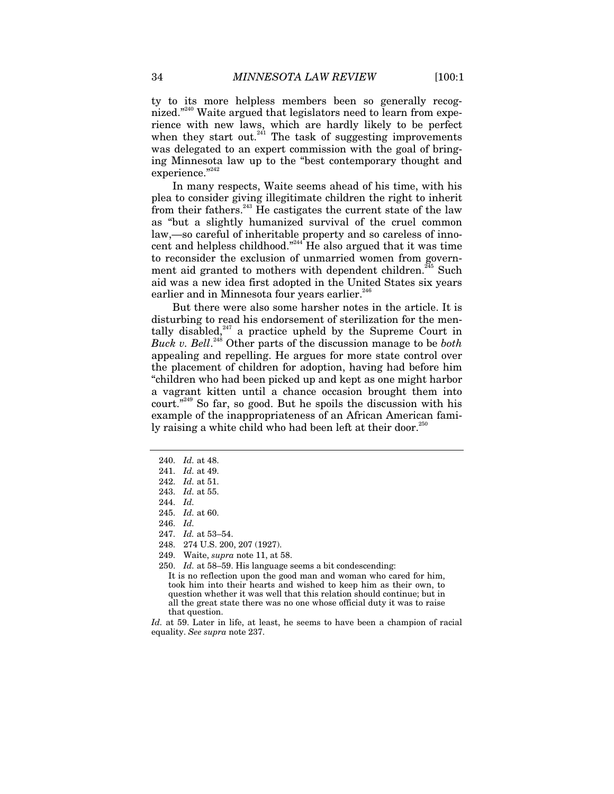ty to its more helpless members been so generally recognized."<sup>240</sup> Waite argued that legislators need to learn from experience with new laws, which are hardly likely to be perfect when they start out. $241$  The task of suggesting improvements was delegated to an expert commission with the goal of bringing Minnesota law up to the "best contemporary thought and experience."<sup>242</sup>

In many respects, Waite seems ahead of his time, with his plea to consider giving illegitimate children the right to inherit from their fathers. $243$  He castigates the current state of the law as "but a slightly humanized survival of the cruel common law,—so careful of inheritable property and so careless of innocent and helpless childhood."<sup>244</sup> He also argued that it was time to reconsider the exclusion of unmarried women from government aid granted to mothers with dependent children.<sup>245</sup> Such aid was a new idea first adopted in the United States six years earlier and in Minnesota four years earlier.<sup>246</sup>

But there were also some harsher notes in the article. It is disturbing to read his endorsement of sterilization for the mentally disabled, $247$  a practice upheld by the Supreme Court in *Buck v. Bell*. 248 Other parts of the discussion manage to be *both* appealing and repelling. He argues for more state control over the placement of children for adoption, having had before him "children who had been picked up and kept as one might harbor a vagrant kitten until a chance occasion brought them into court. $"^{249}$  So far, so good. But he spoils the discussion with his example of the inappropriateness of an African American family raising a white child who had been left at their door.<sup>250</sup>

<sup>240.</sup> *Id.* at 48.

<sup>241.</sup> *Id.* at 49.

<sup>242.</sup> *Id.* at 51.

<sup>243.</sup> *Id.* at 55.

<sup>244.</sup> *Id.*

<sup>245.</sup> *Id.* at 60.

<sup>246.</sup> *Id.*

<sup>247.</sup> *Id.* at 53–54.

 <sup>248. 274</sup> U.S. 200, 207 (1927).

 <sup>249.</sup> Waite, *supra* note 11, at 58.

<sup>250.</sup> *Id.* at 58–59. His language seems a bit condescending:

It is no reflection upon the good man and woman who cared for him, took him into their hearts and wished to keep him as their own, to question whether it was well that this relation should continue; but in all the great state there was no one whose official duty it was to raise that question.

*Id.* at 59. Later in life, at least, he seems to have been a champion of racial equality. *See supra* note 237.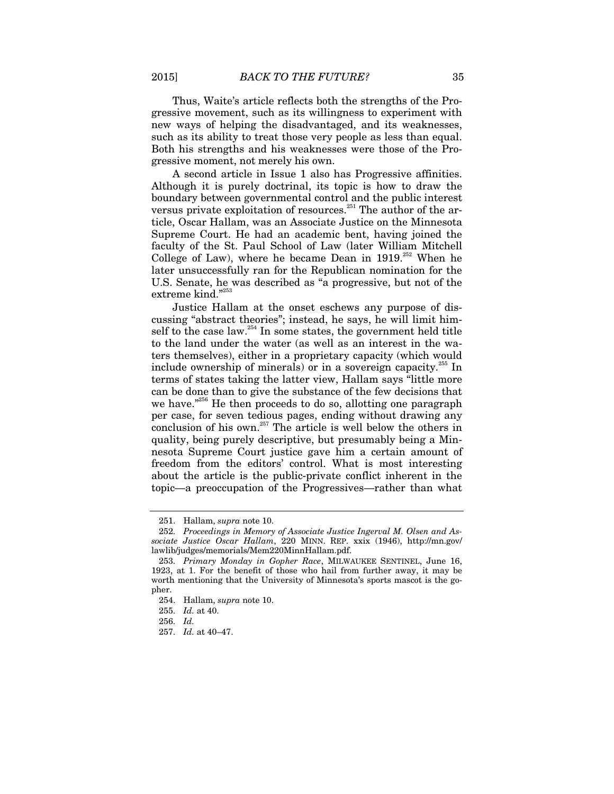Thus, Waite's article reflects both the strengths of the Progressive movement, such as its willingness to experiment with new ways of helping the disadvantaged, and its weaknesses, such as its ability to treat those very people as less than equal. Both his strengths and his weaknesses were those of the Progressive moment, not merely his own.

A second article in Issue 1 also has Progressive affinities. Although it is purely doctrinal, its topic is how to draw the boundary between governmental control and the public interest versus private exploitation of resources.<sup>251</sup> The author of the article, Oscar Hallam, was an Associate Justice on the Minnesota Supreme Court. He had an academic bent, having joined the faculty of the St. Paul School of Law (later William Mitchell College of Law), where he became Dean in  $1919$ <sup>252</sup> When he later unsuccessfully ran for the Republican nomination for the U.S. Senate, he was described as "a progressive, but not of the extreme kind."253

Justice Hallam at the onset eschews any purpose of discussing "abstract theories"; instead, he says, he will limit himself to the case law.<sup>254</sup> In some states, the government held title to the land under the water (as well as an interest in the waters themselves), either in a proprietary capacity (which would include ownership of minerals) or in a sovereign capacity.<sup>255</sup> In terms of states taking the latter view, Hallam says "little more can be done than to give the substance of the few decisions that we have."<sup>256</sup> He then proceeds to do so, allotting one paragraph per case, for seven tedious pages, ending without drawing any conclusion of his own.<sup>257</sup> The article is well below the others in quality, being purely descriptive, but presumably being a Minnesota Supreme Court justice gave him a certain amount of freedom from the editors' control. What is most interesting about the article is the public-private conflict inherent in the topic—a preoccupation of the Progressives—rather than what

 <sup>251.</sup> Hallam, *supra* note 10.

 <sup>252.</sup> *Proceedings in Memory of Associate Justice Ingerval M. Olsen and Associate Justice Oscar Hallam*, 220 MINN. REP. xxix (1946), http://mn.gov/ lawlib/judges/memorials/Mem220MinnHallam.pdf.

<sup>253.</sup> *Primary Monday in Gopher Race*, MILWAUKEE SENTINEL, June 16, 1923, at 1. For the benefit of those who hail from further away, it may be worth mentioning that the University of Minnesota's sports mascot is the gopher.

 <sup>254.</sup> Hallam, *supra* note 10.

<sup>255.</sup> *Id.* at 40.

<sup>256.</sup> *Id.*

<sup>257.</sup> *Id.* at 40–47.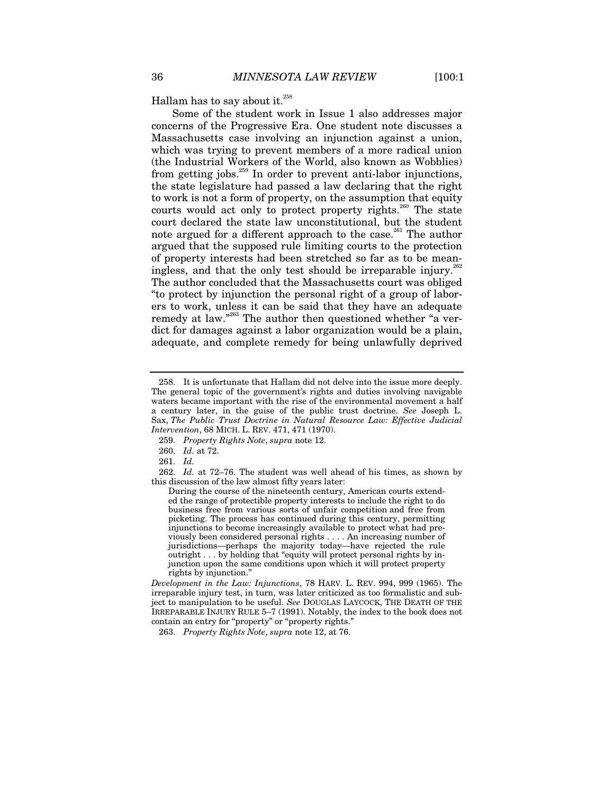Hallam has to say about it.<sup>258</sup>

Some of the student work in Issue 1 also addresses major concerns of the Progressive Era. One student note discusses a Massachusetts case involving an injunction against a union, which was trying to prevent members of a more radical union (the Industrial Workers of the World, also known as Wobblies) from getting jobs.<sup>259</sup> In order to prevent anti-labor injunctions, the state legislature had passed a law declaring that the right to work is not a form of property, on the assumption that equity courts would act only to protect property rights.<sup>260</sup> The state court declared the state law unconstitutional, but the student note argued for a different approach to the case.<sup>261</sup> The author argued that the supposed rule limiting courts to the protection of property interests had been stretched so far as to be meaningless, and that the only test should be irreparable injury.<sup>262</sup> The author concluded that the Massachusetts court was obliged "to protect by injunction the personal right of a group of laborers to work, unless it can be said that they have an adequate remedy at law."<sup>263</sup> The author then questioned whether "a verdict for damages against a labor organization would be a plain, adequate, and complete remedy for being unlawfully deprived

*Development in the Law: Injunctions*, 78 HARV. L. REV. 994, 999 (1965). The irreparable injury test, in turn, was later criticized as too formalistic and subject to manipulation to be useful. *See* DOUGLAS LAYCOCK, THE DEATH OF THE IRREPARABLE INJURY RULE 5–7 (1991). Notably, the index to the book does not contain an entry for "property" or "property rights."

263. *Property Rights Note*, *supra* note 12, at 76.

 <sup>258.</sup> It is unfortunate that Hallam did not delve into the issue more deeply. The general topic of the government's rights and duties involving navigable waters became important with the rise of the environmental movement a half a century later, in the guise of the public trust doctrine. *See* Joseph L. Sax, *The Public Trust Doctrine in Natural Resource Law: Effective Judicial Intervention*, 68 MICH. L. REV. 471, 471 (1970).

<sup>259.</sup> *Property Rights Note*, *supra* note 12.

<sup>260.</sup> *Id.* at 72.

<sup>261.</sup> *Id.*

<sup>262.</sup> *Id.* at 72–76. The student was well ahead of his times, as shown by this discussion of the law almost fifty years later:

During the course of the nineteenth century, American courts extended the range of protectible property interests to include the right to do business free from various sorts of unfair competition and free from picketing. The process has continued during this century, permitting injunctions to become increasingly available to protect what had previously been considered personal rights . . . . An increasing number of jurisdictions—perhaps the majority today—have rejected the rule outright . . . by holding that "equity will protect personal rights by injunction upon the same conditions upon which it will protect property rights by injunction."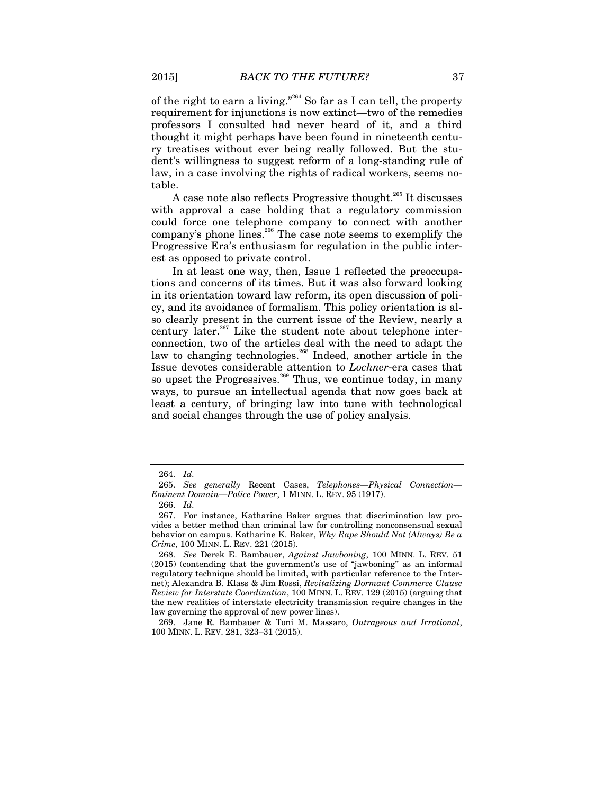of the right to earn a living."264 So far as I can tell, the property requirement for injunctions is now extinct—two of the remedies professors I consulted had never heard of it, and a third thought it might perhaps have been found in nineteenth century treatises without ever being really followed. But the student's willingness to suggest reform of a long-standing rule of law, in a case involving the rights of radical workers, seems notable.

A case note also reflects Progressive thought.<sup>265</sup> It discusses with approval a case holding that a regulatory commission could force one telephone company to connect with another company's phone lines.<sup>266</sup> The case note seems to exemplify the Progressive Era's enthusiasm for regulation in the public interest as opposed to private control.

In at least one way, then, Issue 1 reflected the preoccupations and concerns of its times. But it was also forward looking in its orientation toward law reform, its open discussion of policy, and its avoidance of formalism. This policy orientation is also clearly present in the current issue of the Review, nearly a century later. $267$  Like the student note about telephone interconnection, two of the articles deal with the need to adapt the law to changing technologies.<sup>268</sup> Indeed, another article in the Issue devotes considerable attention to *Lochner*-era cases that so upset the Progressives.<sup>269</sup> Thus, we continue today, in many ways, to pursue an intellectual agenda that now goes back at least a century, of bringing law into tune with technological and social changes through the use of policy analysis.

<sup>264.</sup> *Id.*

 <sup>265.</sup> *See generally* Recent Cases, *Telephones—Physical Connection— Eminent Domain—Police Power*, 1 MINN. L. REV. 95 (1917).

<sup>266.</sup> *Id.*

 <sup>267.</sup> For instance, Katharine Baker argues that discrimination law provides a better method than criminal law for controlling nonconsensual sexual behavior on campus. Katharine K. Baker, *Why Rape Should Not (Always) Be a Crime*, 100 MINN. L. REV. 221 (2015).

<sup>268.</sup> *See* Derek E. Bambauer, *Against Jawboning*, 100 MINN. L. REV. 51 (2015) (contending that the government's use of "jawboning" as an informal regulatory technique should be limited, with particular reference to the Internet); Alexandra B. Klass & Jim Rossi, *Revitalizing Dormant Commerce Clause Review for Interstate Coordination*, 100 MINN. L. REV. 129 (2015) (arguing that the new realities of interstate electricity transmission require changes in the law governing the approval of new power lines).

 <sup>269.</sup> Jane R. Bambauer & Toni M. Massaro, *Outrageous and Irrational*, 100 MINN. L. REV. 281, 323–31 (2015).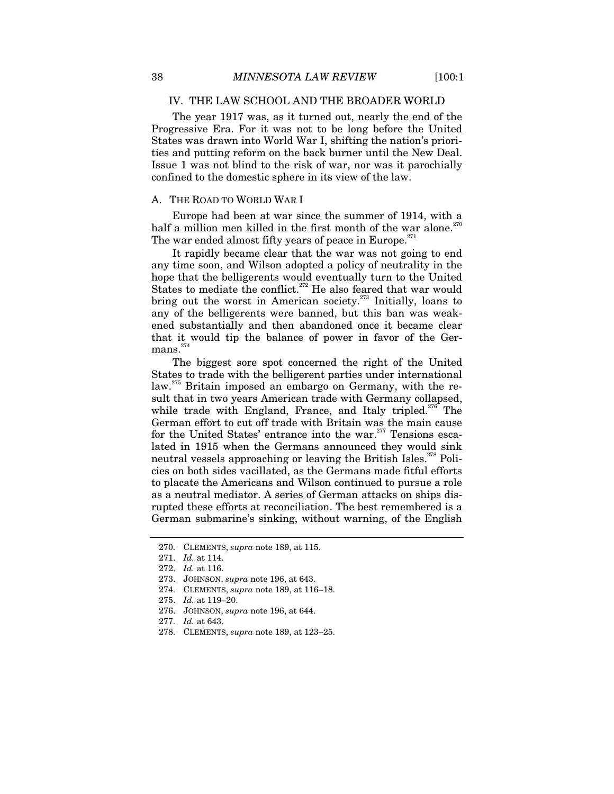#### IV. THE LAW SCHOOL AND THE BROADER WORLD

The year 1917 was, as it turned out, nearly the end of the Progressive Era. For it was not to be long before the United States was drawn into World War I, shifting the nation's priorities and putting reform on the back burner until the New Deal. Issue 1 was not blind to the risk of war, nor was it parochially confined to the domestic sphere in its view of the law.

#### A. THE ROAD TO WORLD WAR I

Europe had been at war since the summer of 1914, with a half a million men killed in the first month of the war alone. $^{270}$ The war ended almost fifty years of peace in Europe. $271$ 

It rapidly became clear that the war was not going to end any time soon, and Wilson adopted a policy of neutrality in the hope that the belligerents would eventually turn to the United States to mediate the conflict.<sup>272</sup> He also feared that war would bring out the worst in American society.<sup>273</sup> Initially, loans to any of the belligerents were banned, but this ban was weakened substantially and then abandoned once it became clear that it would tip the balance of power in favor of the Ger- ${\rm mass.}^{274}$ 

The biggest sore spot concerned the right of the United States to trade with the belligerent parties under international law.<sup>275</sup> Britain imposed an embargo on Germany, with the result that in two years American trade with Germany collapsed, while trade with England, France, and Italy tripled.<sup>276</sup> The German effort to cut off trade with Britain was the main cause for the United States' entrance into the war.<sup>277</sup> Tensions escalated in 1915 when the Germans announced they would sink neutral vessels approaching or leaving the British Isles.<sup>278</sup> Policies on both sides vacillated, as the Germans made fitful efforts to placate the Americans and Wilson continued to pursue a role as a neutral mediator. A series of German attacks on ships disrupted these efforts at reconciliation. The best remembered is a German submarine's sinking, without warning, of the English

276. JOHNSON, *supra* note 196, at 644.

278. CLEMENTS, *supra* note 189, at 123–25.

 <sup>270.</sup> CLEMENTS, *supra* note 189, at 115.

<sup>271.</sup> *Id.* at 114.

<sup>272.</sup> *Id.* at 116.

 <sup>273.</sup> JOHNSON, *supra* note 196, at 643.

 <sup>274.</sup> CLEMENTS, *supra* note 189, at 116–18.

<sup>275.</sup> *Id.* at 119–20.

<sup>277.</sup> *Id.* at 643.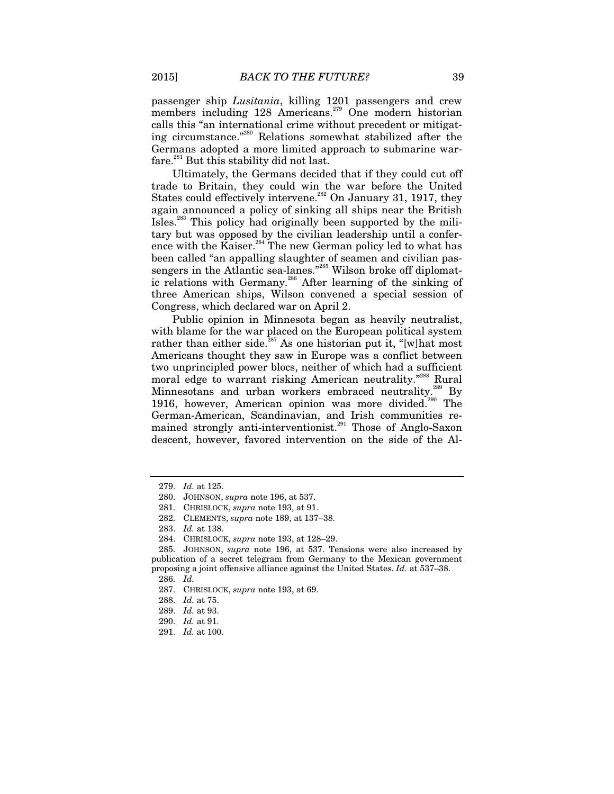passenger ship *Lusitania*, killing 1201 passengers and crew members including 128 Americans.<sup>279</sup> One modern historian calls this "an international crime without precedent or mitigating circumstance."280 Relations somewhat stabilized after the Germans adopted a more limited approach to submarine warfare.<sup>281</sup> But this stability did not last.

Ultimately, the Germans decided that if they could cut off trade to Britain, they could win the war before the United States could effectively intervene.<sup>282</sup> On January 31, 1917, they again announced a policy of sinking all ships near the British Isles.283 This policy had originally been supported by the military but was opposed by the civilian leadership until a conference with the Kaiser.<sup>284</sup> The new German policy led to what has been called "an appalling slaughter of seamen and civilian passengers in the Atlantic sea-lanes."<sup>285</sup> Wilson broke off diplomatic relations with Germany.<sup>286</sup> After learning of the sinking of three American ships, Wilson convened a special session of Congress, which declared war on April 2.

Public opinion in Minnesota began as heavily neutralist, with blame for the war placed on the European political system rather than either side.<sup>287</sup> As one historian put it, "[w]hat most Americans thought they saw in Europe was a conflict between two unprincipled power blocs, neither of which had a sufficient moral edge to warrant risking American neutrality."<sup>288</sup> Rural Minnesotans and urban workers embraced neutrality.<sup>289</sup> By 1916, however, American opinion was more divided.<sup>290</sup> The German-American, Scandinavian, and Irish communities remained strongly anti-interventionist.<sup>291</sup> Those of Anglo-Saxon descent, however, favored intervention on the side of the Al-

- 281. CHRISLOCK, *supra* note 193, at 91.
- 282. CLEMENTS, *supra* note 189, at 137–38.

- 289. *Id.* at 93.
- 290. *Id.* at 91.
- 291. *Id.* at 100.

<sup>279.</sup> *Id.* at 125.

 <sup>280.</sup> JOHNSON, *supra* note 196, at 537.

<sup>283.</sup> *Id.* at 138.

 <sup>284.</sup> CHRISLOCK, *supra* note 193, at 128–29.

 <sup>285.</sup> JOHNSON, *supra* note 196, at 537. Tensions were also increased by publication of a secret telegram from Germany to the Mexican government proposing a joint offensive alliance against the United States. *Id.* at 537–38.

<sup>286.</sup> *Id.*

 <sup>287.</sup> CHRISLOCK, *supra* note 193, at 69.

<sup>288.</sup> *Id.* at 75.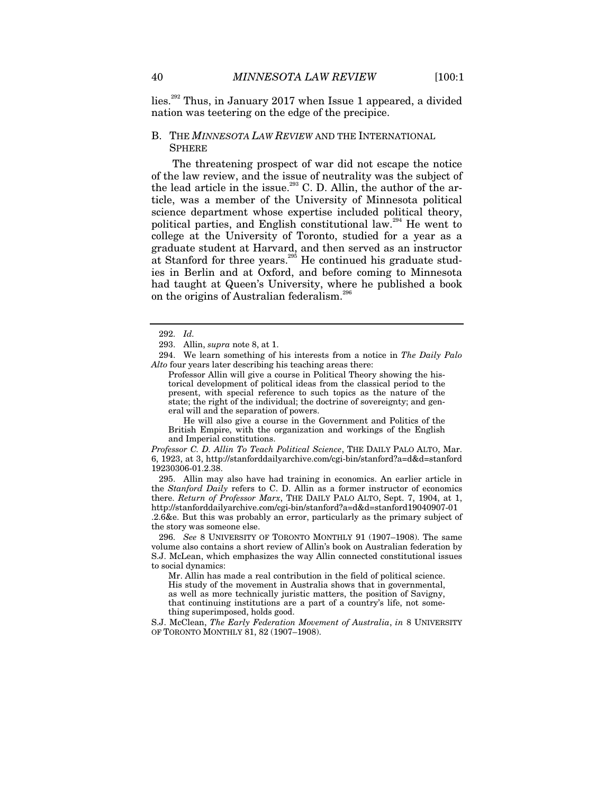lies.292 Thus, in January 2017 when Issue 1 appeared, a divided nation was teetering on the edge of the precipice.

#### B. THE *MINNESOTA LAW REVIEW* AND THE INTERNATIONAL **SPHERE**

The threatening prospect of war did not escape the notice of the law review, and the issue of neutrality was the subject of the lead article in the issue. $293$  C. D. Allin, the author of the article, was a member of the University of Minnesota political science department whose expertise included political theory, political parties, and English constitutional law.<sup>294</sup> He went to college at the University of Toronto, studied for a year as a graduate student at Harvard, and then served as an instructor at Stanford for three years.<sup>295</sup> He continued his graduate studies in Berlin and at Oxford, and before coming to Minnesota had taught at Queen's University, where he published a book on the origins of Australian federalism.<sup>26</sup>

 294. We learn something of his interests from a notice in *The Daily Palo Alto* four years later describing his teaching areas there:

Professor Allin will give a course in Political Theory showing the historical development of political ideas from the classical period to the present, with special reference to such topics as the nature of the state; the right of the individual; the doctrine of sovereignty; and general will and the separation of powers.

 He will also give a course in the Government and Politics of the British Empire, with the organization and workings of the English and Imperial constitutions.

*Professor C. D. Allin To Teach Political Science*, THE DAILY PALO ALTO, Mar. 6, 1923, at 3, http://stanforddailyarchive.com/cgi-bin/stanford?a=d&d=stanford 19230306-01.2.38.

 295. Allin may also have had training in economics. An earlier article in the *Stanford Daily* refers to C. D. Allin as a former instructor of economics there. *Return of Professor Marx*, THE DAILY PALO ALTO, Sept. 7, 1904, at 1, http://stanforddailyarchive.com/cgi-bin/stanford?a=d&d=stanford19040907-01 .2.6&e. But this was probably an error, particularly as the primary subject of the story was someone else.

296. *See* 8 UNIVERSITY OF TORONTO MONTHLY 91 (1907–1908). The same volume also contains a short review of Allin's book on Australian federation by S.J. McLean, which emphasizes the way Allin connected constitutional issues to social dynamics:

Mr. Allin has made a real contribution in the field of political science. His study of the movement in Australia shows that in governmental, as well as more technically juristic matters, the position of Savigny, that continuing institutions are a part of a country's life, not something superimposed, holds good.

S.J. McClean, *The Early Federation Movement of Australia*, *in* 8 UNIVERSITY OF TORONTO MONTHLY 81, 82 (1907–1908).

<sup>292.</sup> *Id.*

 <sup>293.</sup> Allin, *supra* note 8, at 1.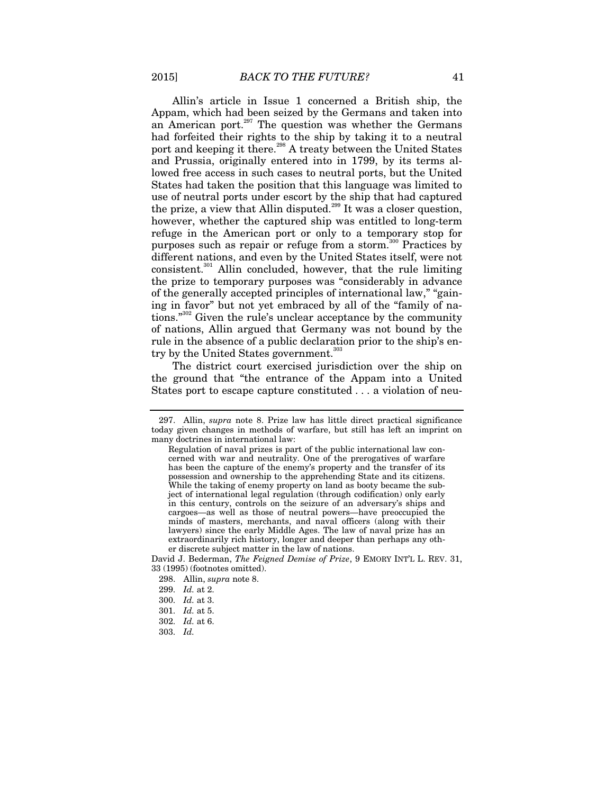Allin's article in Issue 1 concerned a British ship, the Appam, which had been seized by the Germans and taken into an American port. $297$  The question was whether the Germans had forfeited their rights to the ship by taking it to a neutral port and keeping it there.<sup>298</sup> A treaty between the United States and Prussia, originally entered into in 1799, by its terms allowed free access in such cases to neutral ports, but the United States had taken the position that this language was limited to use of neutral ports under escort by the ship that had captured the prize, a view that Allin disputed.<sup>299</sup> It was a closer question, however, whether the captured ship was entitled to long-term refuge in the American port or only to a temporary stop for purposes such as repair or refuge from a storm.<sup>300</sup> Practices by different nations, and even by the United States itself, were not consistent.<sup>301</sup> Allin concluded, however, that the rule limiting the prize to temporary purposes was "considerably in advance of the generally accepted principles of international law," "gaining in favor" but not yet embraced by all of the "family of nations."<sup>302</sup> Given the rule's unclear acceptance by the community of nations, Allin argued that Germany was not bound by the rule in the absence of a public declaration prior to the ship's entry by the United States government.<sup>303</sup>

The district court exercised jurisdiction over the ship on the ground that "the entrance of the Appam into a United States port to escape capture constituted . . . a violation of neu-

David J. Bederman, *The Feigned Demise of Prize*, 9 EMORY INT'L L. REV. 31, 33 (1995) (footnotes omitted).

 <sup>297.</sup> Allin, *supra* note 8. Prize law has little direct practical significance today given changes in methods of warfare, but still has left an imprint on many doctrines in international law:

Regulation of naval prizes is part of the public international law concerned with war and neutrality. One of the prerogatives of warfare has been the capture of the enemy's property and the transfer of its possession and ownership to the apprehending State and its citizens. While the taking of enemy property on land as booty became the subject of international legal regulation (through codification) only early in this century, controls on the seizure of an adversary's ships and cargoes—as well as those of neutral powers—have preoccupied the minds of masters, merchants, and naval officers (along with their lawyers) since the early Middle Ages. The law of naval prize has an extraordinarily rich history, longer and deeper than perhaps any other discrete subject matter in the law of nations.

 <sup>298.</sup> Allin, *supra* note 8.

<sup>299.</sup> *Id.* at 2.

<sup>300.</sup> *Id.* at 3.

<sup>301.</sup> *Id.* at 5.

<sup>302.</sup> *Id.* at 6.

<sup>303.</sup> *Id.*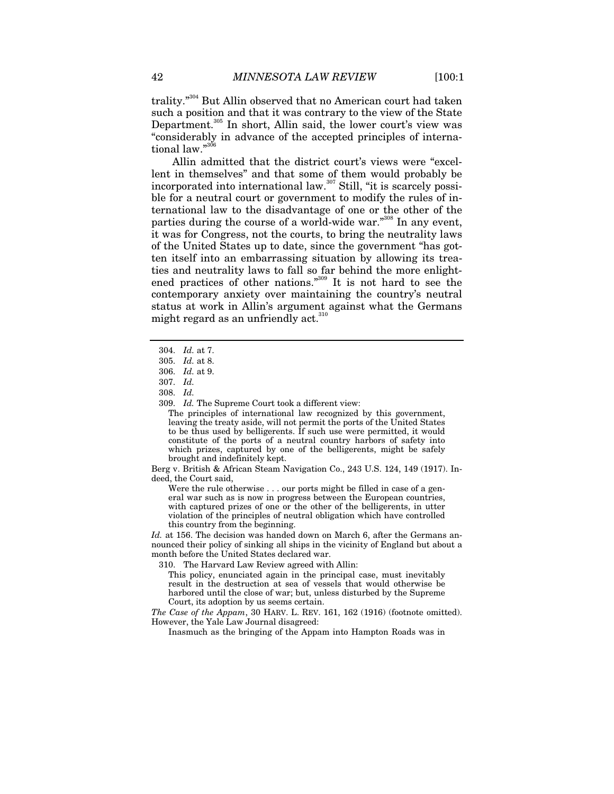trality."304 But Allin observed that no American court had taken such a position and that it was contrary to the view of the State Department.<sup>305</sup> In short, Allin said, the lower court's view was "considerably in advance of the accepted principles of international law."

Allin admitted that the district court's views were "excellent in themselves" and that some of them would probably be incorporated into international law.<sup>307</sup> Still, "it is scarcely possible for a neutral court or government to modify the rules of international law to the disadvantage of one or the other of the parties during the course of a world-wide war."<sup>308</sup> In any event, it was for Congress, not the courts, to bring the neutrality laws of the United States up to date, since the government "has gotten itself into an embarrassing situation by allowing its treaties and neutrality laws to fall so far behind the more enlightened practices of other nations."309 It is not hard to see the contemporary anxiety over maintaining the country's neutral status at work in Allin's argument against what the Germans might regard as an unfriendly act. $310$ 

309. *Id.* The Supreme Court took a different view:

The principles of international law recognized by this government, leaving the treaty aside, will not permit the ports of the United States to be thus used by belligerents. If such use were permitted, it would constitute of the ports of a neutral country harbors of safety into which prizes, captured by one of the belligerents, might be safely brought and indefinitely kept.

Berg v. British & African Steam Navigation Co., 243 U.S. 124, 149 (1917). Indeed, the Court said,

Were the rule otherwise . . . our ports might be filled in case of a general war such as is now in progress between the European countries, with captured prizes of one or the other of the belligerents, in utter violation of the principles of neutral obligation which have controlled this country from the beginning.

*Id.* at 156. The decision was handed down on March 6, after the Germans announced their policy of sinking all ships in the vicinity of England but about a month before the United States declared war.

310. The Harvard Law Review agreed with Allin:

This policy, enunciated again in the principal case, must inevitably result in the destruction at sea of vessels that would otherwise be harbored until the close of war; but, unless disturbed by the Supreme Court, its adoption by us seems certain.

*The Case of the Appam*, 30 HARV. L. REV. 161, 162 (1916) (footnote omitted). However, the Yale Law Journal disagreed:

Inasmuch as the bringing of the Appam into Hampton Roads was in

<sup>304.</sup> *Id.* at 7.

<sup>305.</sup> *Id.* at 8.

<sup>306.</sup> *Id.* at 9.

<sup>307.</sup> *Id.*

<sup>308.</sup> *Id.*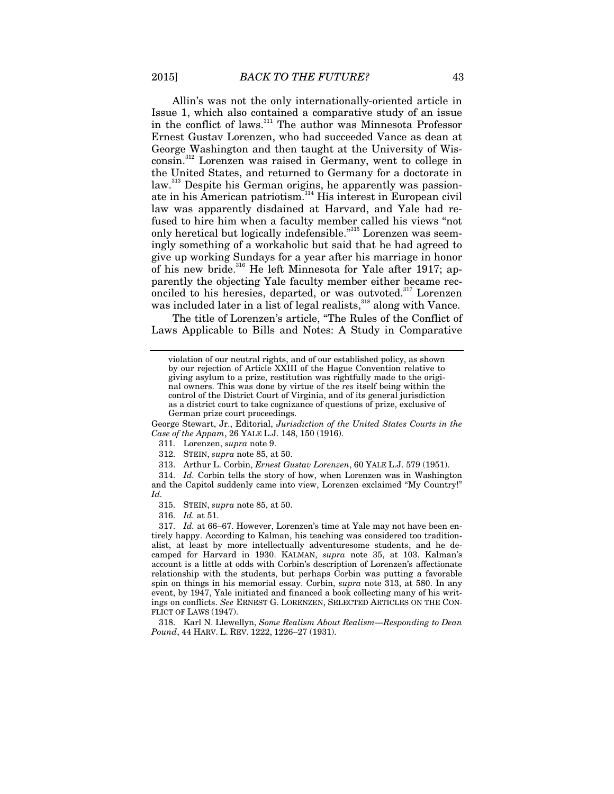Allin's was not the only internationally-oriented article in Issue 1, which also contained a comparative study of an issue in the conflict of laws.<sup>311</sup> The author was Minnesota Professor Ernest Gustav Lorenzen, who had succeeded Vance as dean at George Washington and then taught at the University of Wisconsin.312 Lorenzen was raised in Germany, went to college in the United States, and returned to Germany for a doctorate in law.<sup>313</sup> Despite his German origins, he apparently was passionate in his American patriotism.<sup>314</sup> His interest in European civil law was apparently disdained at Harvard, and Yale had refused to hire him when a faculty member called his views "not only heretical but logically indefensible."315 Lorenzen was seemingly something of a workaholic but said that he had agreed to give up working Sundays for a year after his marriage in honor of his new bride.<sup>316</sup> He left Minnesota for Yale after 1917; apparently the objecting Yale faculty member either became reconciled to his heresies, departed, or was outvoted.<sup>317</sup> Lorenzen was included later in a list of legal realists, $318 \text{ along with }\n\pi$  Vance.

The title of Lorenzen's article, "The Rules of the Conflict of Laws Applicable to Bills and Notes: A Study in Comparative

George Stewart, Jr., Editorial, *Jurisdiction of the United States Courts in the Case of the Appam*, 26 YALE L.J. 148, 150 (1916).

311. Lorenzen, *supra* note 9.

312. STEIN, *supra* note 85, at 50.

313. Arthur L. Corbin, *Ernest Gustav Lorenzen*, 60 YALE L.J. 579 (1951).

314. *Id.* Corbin tells the story of how, when Lorenzen was in Washington and the Capitol suddenly came into view, Lorenzen exclaimed "My Country!" *Id.*

315. STEIN, *supra* note 85, at 50.

316. *Id.* at 51.

317. *Id.* at 66–67. However, Lorenzen's time at Yale may not have been entirely happy. According to Kalman, his teaching was considered too traditionalist, at least by more intellectually adventuresome students, and he decamped for Harvard in 1930. KALMAN, *supra* note 35, at 103. Kalman's account is a little at odds with Corbin's description of Lorenzen's affectionate relationship with the students, but perhaps Corbin was putting a favorable spin on things in his memorial essay. Corbin, *supra* note 313, at 580. In any event, by 1947, Yale initiated and financed a book collecting many of his writings on conflicts. *See* ERNEST G. LORENZEN, SELECTED ARTICLES ON THE CON-FLICT OF LAWS (1947).

 318. Karl N. Llewellyn, *Some Realism About Realism—Responding to Dean Pound*, 44 HARV. L. REV. 1222, 1226–27 (1931).

violation of our neutral rights, and of our established policy, as shown by our rejection of Article XXIII of the Hague Convention relative to giving asylum to a prize, restitution was rightfully made to the original owners. This was done by virtue of the *res* itself being within the control of the District Court of Virginia, and of its general jurisdiction as a district court to take cognizance of questions of prize, exclusive of German prize court proceedings.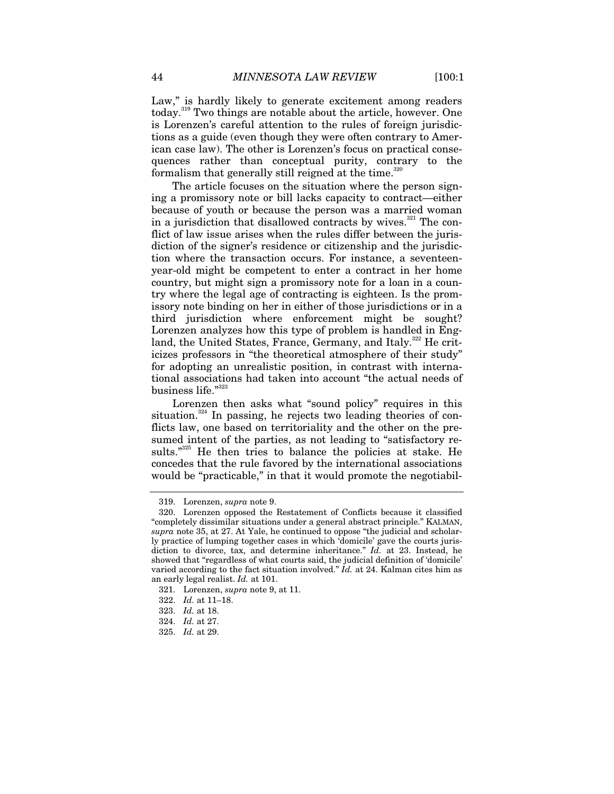Law," is hardly likely to generate excitement among readers today.<sup>319</sup> Two things are notable about the article, however. One is Lorenzen's careful attention to the rules of foreign jurisdictions as a guide (even though they were often contrary to American case law). The other is Lorenzen's focus on practical consequences rather than conceptual purity, contrary to the formalism that generally still reigned at the time.<sup>320</sup>

The article focuses on the situation where the person signing a promissory note or bill lacks capacity to contract—either because of youth or because the person was a married woman in a jurisdiction that disallowed contracts by wives.<sup>321</sup> The conflict of law issue arises when the rules differ between the jurisdiction of the signer's residence or citizenship and the jurisdiction where the transaction occurs. For instance, a seventeenyear-old might be competent to enter a contract in her home country, but might sign a promissory note for a loan in a country where the legal age of contracting is eighteen. Is the promissory note binding on her in either of those jurisdictions or in a third jurisdiction where enforcement might be sought? Lorenzen analyzes how this type of problem is handled in England, the United States, France, Germany, and Italy.<sup>322</sup> He criticizes professors in "the theoretical atmosphere of their study" for adopting an unrealistic position, in contrast with international associations had taken into account "the actual needs of business life."323

Lorenzen then asks what "sound policy" requires in this situation.<sup>324</sup> In passing, he rejects two leading theories of conflicts law, one based on territoriality and the other on the presumed intent of the parties, as not leading to "satisfactory results."<sup>325</sup> He then tries to balance the policies at stake. He concedes that the rule favored by the international associations would be "practicable," in that it would promote the negotiabil-

 <sup>319.</sup> Lorenzen, *supra* note 9.

 <sup>320.</sup> Lorenzen opposed the Restatement of Conflicts because it classified "completely dissimilar situations under a general abstract principle." KALMAN, *supra* note 35, at 27. At Yale, he continued to oppose "the judicial and scholarly practice of lumping together cases in which 'domicile' gave the courts jurisdiction to divorce, tax, and determine inheritance." *Id.* at 23. Instead, he showed that "regardless of what courts said, the judicial definition of 'domicile' varied according to the fact situation involved." *Id.* at 24. Kalman cites him as an early legal realist. *Id.* at 101.

 <sup>321.</sup> Lorenzen, *supra* note 9, at 11.

<sup>322.</sup> *Id.* at 11–18.

<sup>323.</sup> *Id.* at 18.

<sup>324.</sup> *Id.* at 27.

<sup>325.</sup> *Id.* at 29.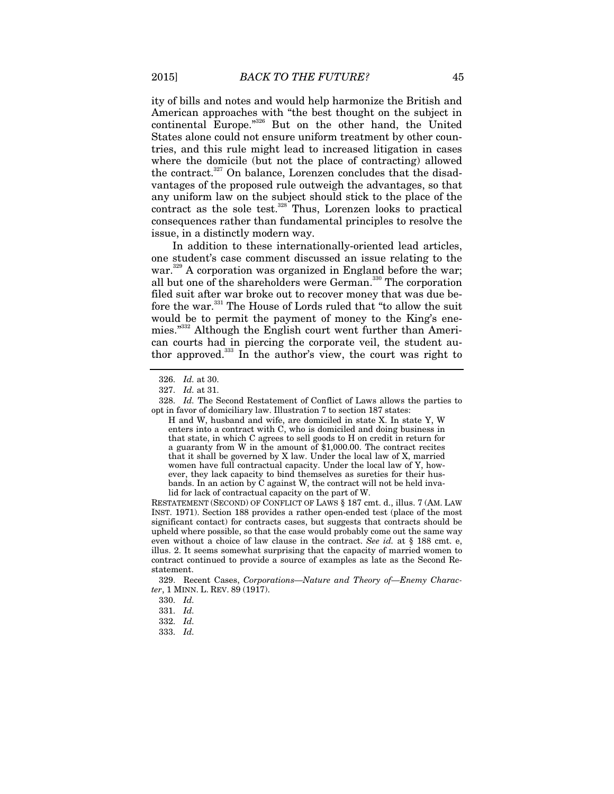ity of bills and notes and would help harmonize the British and American approaches with "the best thought on the subject in continental Europe."326 But on the other hand, the United States alone could not ensure uniform treatment by other countries, and this rule might lead to increased litigation in cases where the domicile (but not the place of contracting) allowed the contract.<sup>327</sup> On balance, Lorenzen concludes that the disadvantages of the proposed rule outweigh the advantages, so that any uniform law on the subject should stick to the place of the contract as the sole test.<sup>328</sup> Thus, Lorenzen looks to practical consequences rather than fundamental principles to resolve the issue, in a distinctly modern way.

In addition to these internationally-oriented lead articles, one student's case comment discussed an issue relating to the war.<sup>329</sup> A corporation was organized in England before the war; all but one of the shareholders were German.<sup>330</sup> The corporation filed suit after war broke out to recover money that was due before the war.331 The House of Lords ruled that "to allow the suit would be to permit the payment of money to the King's enemies."332 Although the English court went further than American courts had in piercing the corporate veil, the student author approved.333 In the author's view, the court was right to

RESTATEMENT (SECOND) OF CONFLICT OF LAWS § 187 cmt. d., illus. 7 (AM. LAW INST. 1971). Section 188 provides a rather open-ended test (place of the most significant contact) for contracts cases, but suggests that contracts should be upheld where possible, so that the case would probably come out the same way even without a choice of law clause in the contract. *See id.* at § 188 cmt. e, illus. 2. It seems somewhat surprising that the capacity of married women to contract continued to provide a source of examples as late as the Second Restatement.

<sup>326.</sup> *Id.* at 30.

<sup>327.</sup> *Id.* at 31.

<sup>328.</sup> *Id.* The Second Restatement of Conflict of Laws allows the parties to opt in favor of domiciliary law. Illustration 7 to section 187 states:

H and W, husband and wife, are domiciled in state X. In state Y, W enters into a contract with C, who is domiciled and doing business in that state, in which C agrees to sell goods to H on credit in return for a guaranty from W in the amount of \$1,000.00. The contract recites that it shall be governed by X law. Under the local law of X, married women have full contractual capacity. Under the local law of Y, however, they lack capacity to bind themselves as sureties for their husbands. In an action by C against W, the contract will not be held invalid for lack of contractual capacity on the part of W.

 <sup>329.</sup> Recent Cases, *Corporations—Nature and Theory of—Enemy Character*, 1 MINN. L. REV. 89 (1917).

<sup>330.</sup> *Id.*

<sup>331.</sup> *Id.*

<sup>332.</sup> *Id.*

<sup>333.</sup> *Id.*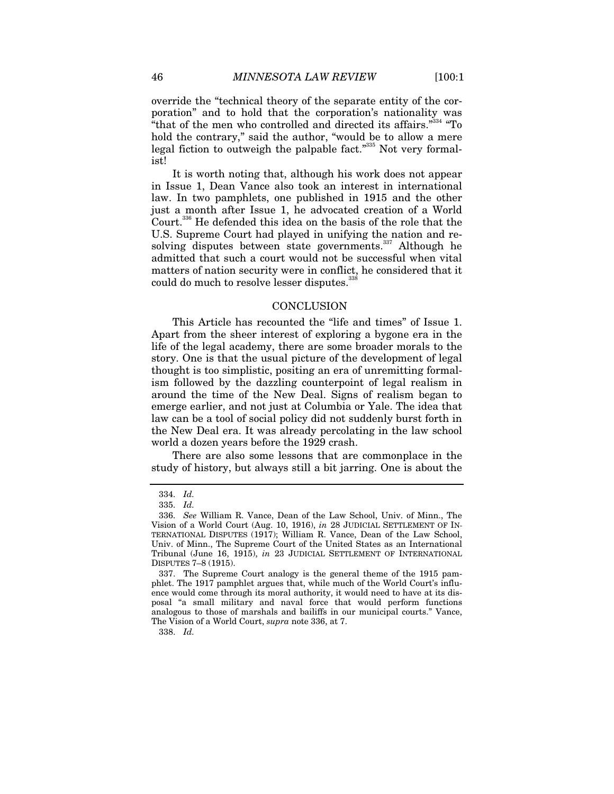override the "technical theory of the separate entity of the corporation" and to hold that the corporation's nationality was "that of the men who controlled and directed its affairs."<sup>334</sup> "To hold the contrary," said the author, "would be to allow a mere legal fiction to outweigh the palpable fact."335 Not very formalist!

It is worth noting that, although his work does not appear in Issue 1, Dean Vance also took an interest in international law. In two pamphlets, one published in 1915 and the other just a month after Issue 1, he advocated creation of a World Court.336 He defended this idea on the basis of the role that the U.S. Supreme Court had played in unifying the nation and resolving disputes between state governments. $337$  Although he admitted that such a court would not be successful when vital matters of nation security were in conflict, he considered that it could do much to resolve lesser disputes.<sup>338</sup>

#### **CONCLUSION**

This Article has recounted the "life and times" of Issue 1. Apart from the sheer interest of exploring a bygone era in the life of the legal academy, there are some broader morals to the story. One is that the usual picture of the development of legal thought is too simplistic, positing an era of unremitting formalism followed by the dazzling counterpoint of legal realism in around the time of the New Deal. Signs of realism began to emerge earlier, and not just at Columbia or Yale. The idea that law can be a tool of social policy did not suddenly burst forth in the New Deal era. It was already percolating in the law school world a dozen years before the 1929 crash.

There are also some lessons that are commonplace in the study of history, but always still a bit jarring. One is about the

338. *Id.*

<sup>334.</sup> *Id.*

<sup>335.</sup> *Id.*

 <sup>336.</sup> *See* William R. Vance, Dean of the Law School, Univ. of Minn., The Vision of a World Court (Aug. 10, 1916), *in* 28 JUDICIAL SETTLEMENT OF IN-TERNATIONAL DISPUTES (1917); William R. Vance, Dean of the Law School, Univ. of Minn., The Supreme Court of the United States as an International Tribunal (June 16, 1915), *in* 23 JUDICIAL SETTLEMENT OF INTERNATIONAL DISPUTES 7–8 (1915).

 <sup>337.</sup> The Supreme Court analogy is the general theme of the 1915 pamphlet. The 1917 pamphlet argues that, while much of the World Court's influence would come through its moral authority, it would need to have at its disposal "a small military and naval force that would perform functions analogous to those of marshals and bailiffs in our municipal courts." Vance, The Vision of a World Court, *supra* note 336, at 7.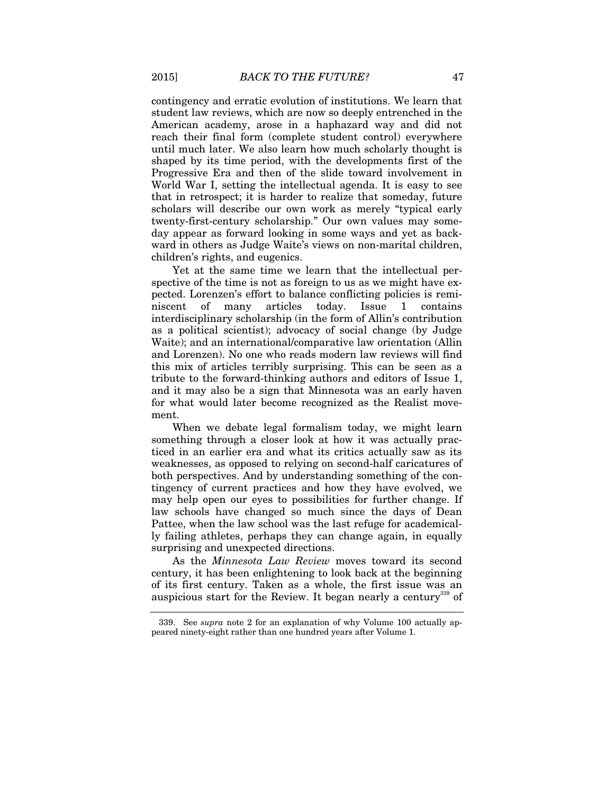contingency and erratic evolution of institutions. We learn that student law reviews, which are now so deeply entrenched in the American academy, arose in a haphazard way and did not reach their final form (complete student control) everywhere until much later. We also learn how much scholarly thought is shaped by its time period, with the developments first of the Progressive Era and then of the slide toward involvement in World War I, setting the intellectual agenda. It is easy to see that in retrospect; it is harder to realize that someday, future scholars will describe our own work as merely "typical early twenty-first-century scholarship." Our own values may someday appear as forward looking in some ways and yet as backward in others as Judge Waite's views on non-marital children, children's rights, and eugenics.

Yet at the same time we learn that the intellectual perspective of the time is not as foreign to us as we might have expected. Lorenzen's effort to balance conflicting policies is reminiscent of many articles today. Issue 1 contains interdisciplinary scholarship (in the form of Allin's contribution as a political scientist); advocacy of social change (by Judge Waite); and an international/comparative law orientation (Allin and Lorenzen). No one who reads modern law reviews will find this mix of articles terribly surprising. This can be seen as a tribute to the forward-thinking authors and editors of Issue 1, and it may also be a sign that Minnesota was an early haven for what would later become recognized as the Realist movement.

When we debate legal formalism today, we might learn something through a closer look at how it was actually practiced in an earlier era and what its critics actually saw as its weaknesses, as opposed to relying on second-half caricatures of both perspectives. And by understanding something of the contingency of current practices and how they have evolved, we may help open our eyes to possibilities for further change. If law schools have changed so much since the days of Dean Pattee, when the law school was the last refuge for academically failing athletes, perhaps they can change again, in equally surprising and unexpected directions.

As the *Minnesota Law Review* moves toward its second century, it has been enlightening to look back at the beginning of its first century. Taken as a whole, the first issue was an auspicious start for the Review. It began nearly a century<sup>339</sup> of

 <sup>339.</sup> See *supra* note 2 for an explanation of why Volume 100 actually appeared ninety-eight rather than one hundred years after Volume 1.